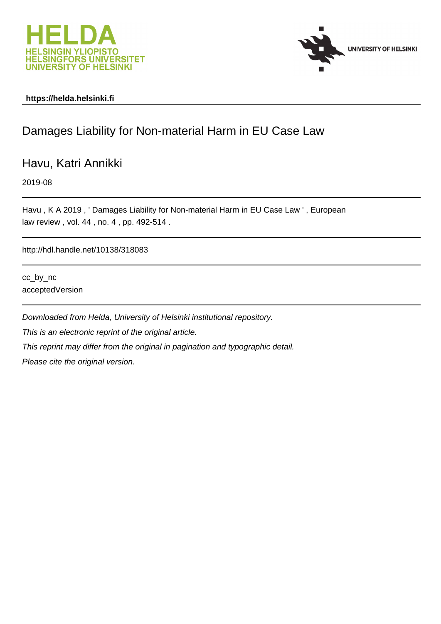



# **https://helda.helsinki.fi**

# Damages Liability for Non-material Harm in EU Case Law

Havu, Katri Annikki

2019-08

Havu , K A 2019 , ' Damages Liability for Non-material Harm in EU Case Law ' , European law review , vol. 44 , no. 4 , pp. 492-514 .

http://hdl.handle.net/10138/318083

cc\_by\_nc acceptedVersion

Downloaded from Helda, University of Helsinki institutional repository. This is an electronic reprint of the original article. This reprint may differ from the original in pagination and typographic detail. Please cite the original version.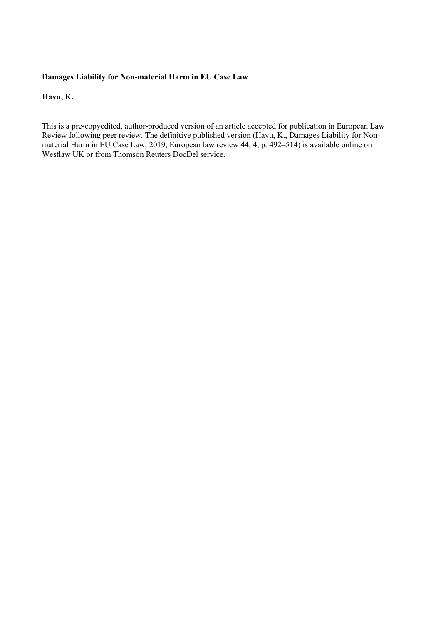# **Damages Liability for Non-material Harm in EU Case Law**

# **Havu, K.**

This is a pre-copyedited, author-produced version of an article accepted for publication in European Law Review following peer review. The definitive published version (Havu, K., Damages Liability for Nonmaterial Harm in EU Case Law, 2019, European law review 44, 4, p.  $492-514$ ) is available online on Westlaw UK or from Thomson Reuters DocDel service.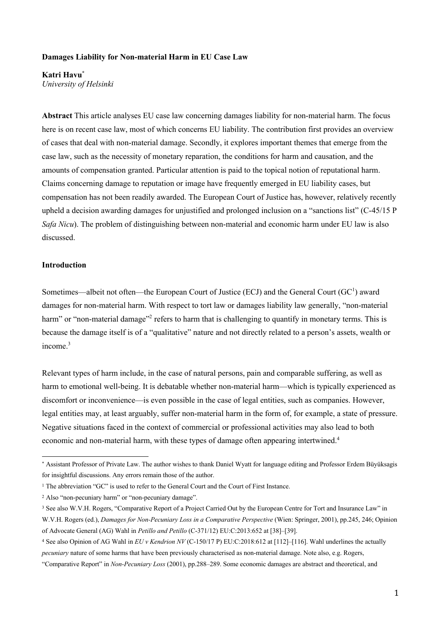# **Damages Liability for Non-material Harm in EU Case Law**

**Katri Havu\*** *University of Helsinki*

**Abstract** This article analyses EU case law concerning damages liability for non-material harm. The focus here is on recent case law, most of which concerns EU liability. The contribution first provides an overview of cases that deal with non-material damage. Secondly, it explores important themes that emerge from the case law, such as the necessity of monetary reparation, the conditions for harm and causation, and the amounts of compensation granted. Particular attention is paid to the topical notion of reputational harm. Claims concerning damage to reputation or image have frequently emerged in EU liability cases, but compensation has not been readily awarded. The European Court of Justice has, however, relatively recently upheld a decision awarding damages for unjustified and prolonged inclusion on a "sanctions list" (C-45/15 P *Safa Nicu*). The problem of distinguishing between non-material and economic harm under EU law is also discussed.

## **Introduction**

Sometimes—albeit not often—the European Court of Justice (ECJ) and the General Court (GC<sup>1</sup>) award damages for non-material harm. With respect to tort law or damages liability law generally, "non-material harm" or "non-material damage"<sup>2</sup> refers to harm that is challenging to quantify in monetary terms. This is because the damage itself is of a "qualitative" nature and not directly related to a person's assets, wealth or income.3

Relevant types of harm include, in the case of natural persons, pain and comparable suffering, as well as harm to emotional well-being. It is debatable whether non-material harm—which is typically experienced as discomfort or inconvenience—is even possible in the case of legal entities, such as companies. However, legal entities may, at least arguably, suffer non-material harm in the form of, for example, a state of pressure. Negative situations faced in the context of commercial or professional activities may also lead to both economic and non-material harm, with these types of damage often appearing intertwined.<sup>4</sup>

 <sup>\*</sup> Assistant Professor of Private Law. The author wishes to thank Daniel Wyatt for language editing and Professor Erdem Büyüksagis for insightful discussions. Any errors remain those of the author.

<sup>&</sup>lt;sup>1</sup> The abbreviation "GC" is used to refer to the General Court and the Court of First Instance.

<sup>2</sup> Also "non-pecuniary harm" or "non-pecuniary damage".

<sup>3</sup> See also W.V.H. Rogers, "Comparative Report of a Project Carried Out by the European Centre for Tort and Insurance Law" in W.V.H. Rogers (ed.), *Damages for Non-Pecuniary Loss in a Comparative Perspective* (Wien: Springer, 2001), pp.245, 246; Opinion of Advocate General (AG) Wahl in *Petillo and Petillo* (C-371/12) EU:C:2013:652 at [38]–[39].

<sup>4</sup> See also Opinion of AG Wahl in *EU v Kendrion NV* (C-150/17 P) EU:C:2018:612 at [112]–[116]. Wahl underlines the actually *pecuniary* nature of some harms that have been previously characterised as non-material damage. Note also, e.g. Rogers,

<sup>&</sup>quot;Comparative Report" in *Non-Pecuniary Loss* (2001), pp.288–289. Some economic damages are abstract and theoretical, and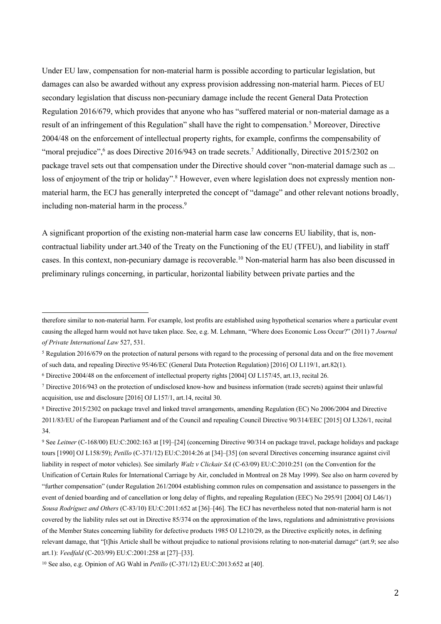Under EU law, compensation for non-material harm is possible according to particular legislation, but damages can also be awarded without any express provision addressing non-material harm. Pieces of EU secondary legislation that discuss non-pecuniary damage include the recent General Data Protection Regulation 2016/679, which provides that anyone who has "suffered material or non-material damage as a result of an infringement of this Regulation" shall have the right to compensation.<sup>5</sup> Moreover, Directive 2004/48 on the enforcement of intellectual property rights, for example, confirms the compensability of "moral prejudice", 6 as does Directive 2016/943 on trade secrets.<sup>7</sup> Additionally, Directive 2015/2302 on package travel sets out that compensation under the Directive should cover "non-material damage such as ... loss of enjoyment of the trip or holiday".<sup>8</sup> However, even where legislation does not expressly mention nonmaterial harm, the ECJ has generally interpreted the concept of "damage" and other relevant notions broadly, including non-material harm in the process.<sup>9</sup>

A significant proportion of the existing non-material harm case law concerns EU liability, that is, noncontractual liability under art.340 of the Treaty on the Functioning of the EU (TFEU), and liability in staff cases. In this context, non-pecuniary damage is recoverable. <sup>10</sup> Non-material harm has also been discussed in preliminary rulings concerning, in particular, horizontal liability between private parties and the

<sup>9</sup> See *Leitner* (C-168/00) EU:C:2002:163 at [19]–[24] (concerning Directive 90/314 on package travel, package holidays and package tours [1990] OJ L158/59); *Petillo* (C-371/12) EU:C:2014:26 at [34]–[35] (on several Directives concerning insurance against civil liability in respect of motor vehicles). See similarly *Walz v Clickair SA* (C-63/09) EU:C:2010:251 (on the Convention for the Unification of Certain Rules for International Carriage by Air, concluded in Montreal on 28 May 1999). See also on harm covered by "further compensation" (under Regulation 261/2004 establishing common rules on compensation and assistance to passengers in the event of denied boarding and of cancellation or long delay of flights, and repealing Regulation (EEC) No 295/91 [2004] OJ L46/1) *Sousa Rodríguez and Others* (C-83/10) EU:C:2011:652 at [36]–[46]. The ECJ has nevertheless noted that non-material harm is not covered by the liability rules set out in Directive 85/374 on the approximation of the laws, regulations and administrative provisions of the Member States concerning liability for defective products 1985 OJ L210/29, as the Directive explicitly notes, in defining relevant damage, that "[t]his Article shall be without prejudice to national provisions relating to non-material damage" (art.9; see also art.1): *Veedfald* (C-203/99) EU:C:2001:258 at [27]–[33].

therefore similar to non-material harm. For example, lost profits are established using hypothetical scenarios where a particular event causing the alleged harm would not have taken place. See, e.g. M. Lehmann, "Where does Economic Loss Occur?" (2011) 7 *Journal of Private International Law* 527, 531.

<sup>5</sup> Regulation 2016/679 on the protection of natural persons with regard to the processing of personal data and on the free movement of such data, and repealing Directive 95/46/EC (General Data Protection Regulation) [2016] OJ L119/1, art.82(1).

<sup>6</sup> Directive 2004/48 on the enforcement of intellectual property rights [2004] OJ L157/45, art.13, recital 26.

<sup>7</sup> Directive 2016/943 on the protection of undisclosed know-how and business information (trade secrets) against their unlawful acquisition, use and disclosure [2016] OJ L157/1, art.14, recital 30.

<sup>8</sup> Directive 2015/2302 on package travel and linked travel arrangements, amending Regulation (EC) No 2006/2004 and Directive 2011/83/EU of the European Parliament and of the Council and repealing Council Directive 90/314/EEC [2015] OJ L326/1, recital 34.

<sup>10</sup> See also, e.g. Opinion of AG Wahl in *Petillo* (C-371/12) EU:C:2013:652 at [40].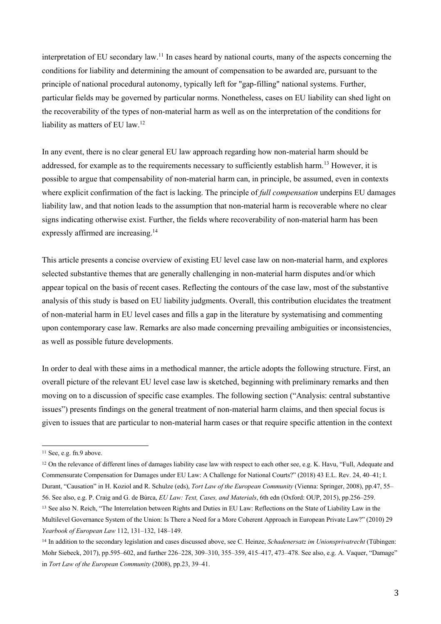interpretation of EU secondary law.<sup>11</sup> In cases heard by national courts, many of the aspects concerning the conditions for liability and determining the amount of compensation to be awarded are, pursuant to the principle of national procedural autonomy, typically left for "gap-filling" national systems. Further, particular fields may be governed by particular norms. Nonetheless, cases on EU liability can shed light on the recoverability of the types of non-material harm as well as on the interpretation of the conditions for liability as matters of EU law.<sup>12</sup>

In any event, there is no clear general EU law approach regarding how non-material harm should be addressed, for example as to the requirements necessary to sufficiently establish harm.<sup>13</sup> However, it is possible to argue that compensability of non-material harm can, in principle, be assumed, even in contexts where explicit confirmation of the fact is lacking. The principle of *full compensation* underpins EU damages liability law, and that notion leads to the assumption that non-material harm is recoverable where no clear signs indicating otherwise exist. Further, the fields where recoverability of non-material harm has been expressly affirmed are increasing.<sup>14</sup>

This article presents a concise overview of existing EU level case law on non-material harm, and explores selected substantive themes that are generally challenging in non-material harm disputes and/or which appear topical on the basis of recent cases. Reflecting the contours of the case law, most of the substantive analysis of this study is based on EU liability judgments. Overall, this contribution elucidates the treatment of non-material harm in EU level cases and fills a gap in the literature by systematising and commenting upon contemporary case law. Remarks are also made concerning prevailing ambiguities or inconsistencies, as well as possible future developments.

In order to deal with these aims in a methodical manner, the article adopts the following structure. First, an overall picture of the relevant EU level case law is sketched, beginning with preliminary remarks and then moving on to a discussion of specific case examples. The following section ("Analysis: central substantive issues") presents findings on the general treatment of non-material harm claims, and then special focus is given to issues that are particular to non-material harm cases or that require specific attention in the context

<sup>&</sup>lt;sup>11</sup> See, e.g. fn.9 above.

<sup>12</sup> On the relevance of different lines of damages liability case law with respect to each other see, e.g. K. Havu, "Full, Adequate and Commensurate Compensation for Damages under EU Law: A Challenge for National Courts?" (2018) 43 E.L. Rev. 24, 40–41; I. Durant, "Causation" in H. Koziol and R. Schulze (eds), *Tort Law of the European Community* (Vienna: Springer, 2008), pp.47, 55– 56. See also, e.g. P. Craig and G. de Búrca, *EU Law: Text, Cases, and Materials*, 6th edn (Oxford: OUP, 2015), pp.256–259. <sup>13</sup> See also N. Reich, "The Interrelation between Rights and Duties in EU Law: Reflections on the State of Liability Law in the

Multilevel Governance System of the Union: Is There a Need for a More Coherent Approach in European Private Law?" (2010) 29 *Yearbook of European Law* 112, 131–132, 148–149.

<sup>14</sup> In addition to the secondary legislation and cases discussed above, see C. Heinze, *Schadenersatz im Unionsprivatrecht* (Tübingen: Mohr Siebeck, 2017), pp.595–602, and further 226–228, 309–310, 355–359, 415–417, 473–478. See also, e.g. A. Vaquer, "Damage" in *Tort Law of the European Community* (2008), pp.23, 39–41.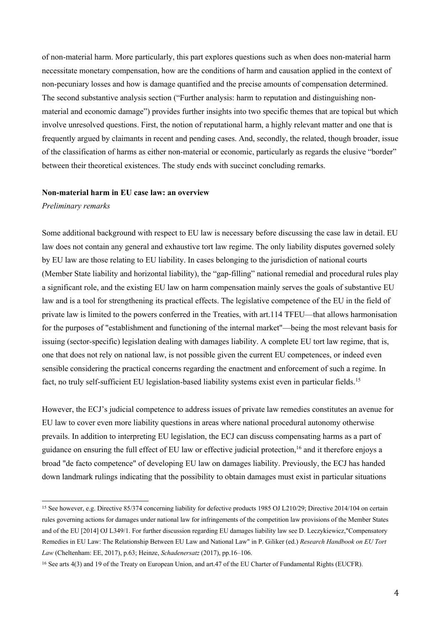of non-material harm. More particularly, this part explores questions such as when does non-material harm necessitate monetary compensation, how are the conditions of harm and causation applied in the context of non-pecuniary losses and how is damage quantified and the precise amounts of compensation determined. The second substantive analysis section ("Further analysis: harm to reputation and distinguishing nonmaterial and economic damage") provides further insights into two specific themes that are topical but which involve unresolved questions. First, the notion of reputational harm, a highly relevant matter and one that is frequently argued by claimants in recent and pending cases. And, secondly, the related, though broader, issue of the classification of harms as either non-material or economic, particularly as regards the elusive "border" between their theoretical existences. The study ends with succinct concluding remarks.

#### **Non-material harm in EU case law: an overview**

#### *Preliminary remarks*

Some additional background with respect to EU law is necessary before discussing the case law in detail. EU law does not contain any general and exhaustive tort law regime. The only liability disputes governed solely by EU law are those relating to EU liability. In cases belonging to the jurisdiction of national courts (Member State liability and horizontal liability), the "gap-filling" national remedial and procedural rules play a significant role, and the existing EU law on harm compensation mainly serves the goals of substantive EU law and is a tool for strengthening its practical effects. The legislative competence of the EU in the field of private law is limited to the powers conferred in the Treaties, with art.114 TFEU—that allows harmonisation for the purposes of "establishment and functioning of the internal market"—being the most relevant basis for issuing (sector-specific) legislation dealing with damages liability. A complete EU tort law regime, that is, one that does not rely on national law, is not possible given the current EU competences, or indeed even sensible considering the practical concerns regarding the enactment and enforcement of such a regime. In fact, no truly self-sufficient EU legislation-based liability systems exist even in particular fields.15

However, the ECJ's judicial competence to address issues of private law remedies constitutes an avenue for EU law to cover even more liability questions in areas where national procedural autonomy otherwise prevails. In addition to interpreting EU legislation, the ECJ can discuss compensating harms as a part of guidance on ensuring the full effect of EU law or effective judicial protection,<sup>16</sup> and it therefore enjoys a broad "de facto competence" of developing EU law on damages liability. Previously, the ECJ has handed down landmark rulings indicating that the possibility to obtain damages must exist in particular situations

 <sup>15</sup> See however, e.g. Directive 85/374 concerning liability for defective products 1985 OJ L210/29; Directive 2014/104 on certain rules governing actions for damages under national law for infringements of the competition law provisions of the Member States and of the EU [2014] OJ L349/1. For further discussion regarding EU damages liability law see D. Leczykiewicz,"Compensatory Remedies in EU Law: The Relationship Between EU Law and National Law" in P. Giliker (ed.) *Research Handbook on EU Tort Law* (Cheltenham: EE, 2017), p.63; Heinze, *Schadenersatz* (2017), pp.16–106.

<sup>16</sup> See arts 4(3) and 19 of the Treaty on European Union, and art.47 of the EU Charter of Fundamental Rights (EUCFR).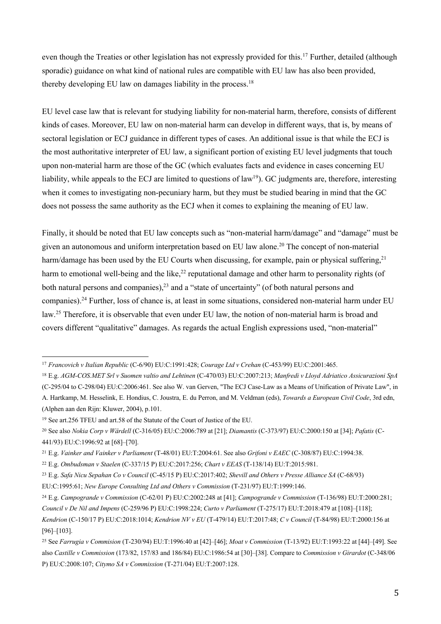even though the Treaties or other legislation has not expressly provided for this.<sup>17</sup> Further, detailed (although sporadic) guidance on what kind of national rules are compatible with EU law has also been provided, thereby developing EU law on damages liability in the process.<sup>18</sup>

EU level case law that is relevant for studying liability for non-material harm, therefore, consists of different kinds of cases. Moreover, EU law on non-material harm can develop in different ways, that is, by means of sectoral legislation or ECJ guidance in different types of cases. An additional issue is that while the ECJ is the most authoritative interpreter of EU law, a significant portion of existing EU level judgments that touch upon non-material harm are those of the GC (which evaluates facts and evidence in cases concerning EU liability, while appeals to the ECJ are limited to questions of law<sup>19</sup>). GC judgments are, therefore, interesting when it comes to investigating non-pecuniary harm, but they must be studied bearing in mind that the GC does not possess the same authority as the ECJ when it comes to explaining the meaning of EU law.

Finally, it should be noted that EU law concepts such as "non-material harm/damage" and "damage" must be given an autonomous and uniform interpretation based on EU law alone.20 The concept of non-material harm/damage has been used by the EU Courts when discussing, for example, pain or physical suffering,  $21$ harm to emotional well-being and the like,<sup>22</sup> reputational damage and other harm to personality rights (of both natural persons and companies), $^{23}$  and a "state of uncertainty" (of both natural persons and companies).24 Further, loss of chance is, at least in some situations, considered non-material harm under EU law.25 Therefore, it is observable that even under EU law, the notion of non-material harm is broad and covers different "qualitative" damages. As regards the actual English expressions used, "non-material"

 <sup>17</sup> *Francovich v Italian Republic* (C-6/90) EU:C:1991:428; *Courage Ltd v Crehan* (C-453/99) EU:C:2001:465.

<sup>18</sup> E.g. *AGM-COS.MET Srl v Suomen valtio and Lehtinen* (C-470/03) EU:C:2007:213; *Manfredi v Lloyd Adriatico Assicurazioni SpA* (C-295/04 to C-298/04) EU:C:2006:461. See also W. van Gerven, "The ECJ Case-Law as a Means of Unification of Private Law", in A. Hartkamp, M. Hesselink, E. Hondius, C. Joustra, E. du Perron, and M. Veldman (eds), *Towards a European Civil Code*, 3rd edn, (Alphen aan den Rijn: Kluwer, 2004), p.101.

<sup>19</sup> See art.256 TFEU and art.58 of the Statute of the Court of Justice of the EU.

<sup>20</sup> See also *Nokia Corp v Wärdell* (C-316/05) EU:C:2006:789 at [21]; *Diamantis* (C-373/97) EU:C:2000:150 at [34]; *Pafatis* (C-441/93) EU:C:1996:92 at [68]–[70].

<sup>21</sup> E.g. *Vainker and Vainker v Parliament* (T-48/01) EU:T:2004:61. See also *Grifoni v EAEC* (C-308/87) EU:C:1994:38.

<sup>22</sup> E.g. *Ombudsman v Staelen* (C-337/15 P) EU:C:2017:256; *Chart v EEAS* (T-138/14) EU:T:2015:981.

<sup>23</sup> E.g. *Safa Nicu Sepahan Co v Council* (C-45/15 P) EU:C:2017:402; *Shevill and Others v Presse Alliance SA* (C-68/93)

EU:C:1995:61; *New Europe Consulting Ltd and Others v Commission* (T-231/97) EU:T:1999:146.

<sup>24</sup> E.g. *Campogrande v Commission* (C-62/01 P) EU:C:2002:248 at [41]; *Campogrande v Commission* (T-136/98) EU:T:2000:281; *Council v De Nil and Impens* (C-259/96 P) EU:C:1998:224; *Curto v Parliament* (T-275/17) EU:T:2018:479 at [108]–[118]; *Kendrion* (C-150/17 P) EU:C:2018:1014; *Kendrion NV v EU* (T-479/14) EU:T:2017:48; *C v Council* (T-84/98) EU:T:2000:156 at [96]–[103].

<sup>25</sup> See *Farrugia v Commision* (T-230/94) EU:T:1996:40 at [42]–[46]; *Moat v Commission* (T-13/92) EU:T:1993:22 at [44]–[49]. See also *Castille v Commission* (173/82, 157/83 and 186/84) EU:C:1986:54 at [30]–[38]. Compare to *Commission v Girardot* (C-348/06 P) EU:C:2008:107; *Citymo SA v Commission* (T-271/04) EU:T:2007:128.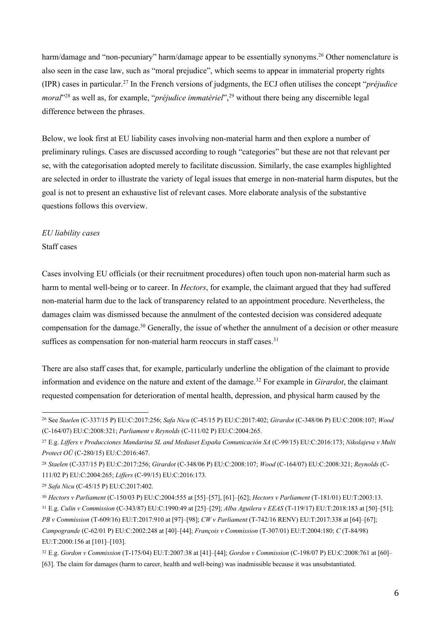harm/damage and "non-pecuniary" harm/damage appear to be essentially synonyms.<sup>26</sup> Other nomenclature is also seen in the case law, such as "moral prejudice", which seems to appear in immaterial property rights (IPR) cases in particular. <sup>27</sup> In the French versions of judgments, the ECJ often utilises the concept "*préjudice moral*<sup>"28</sup> as well as, for example, "*préjudice immatériel*",<sup>29</sup> without there being any discernible legal difference between the phrases.

Below, we look first at EU liability cases involving non-material harm and then explore a number of preliminary rulings. Cases are discussed according to rough "categories" but these are not that relevant per se, with the categorisation adopted merely to facilitate discussion. Similarly, the case examples highlighted are selected in order to illustrate the variety of legal issues that emerge in non-material harm disputes, but the goal is not to present an exhaustive list of relevant cases. More elaborate analysis of the substantive questions follows this overview.

# *EU liability cases*

# Staff cases

Cases involving EU officials (or their recruitment procedures) often touch upon non-material harm such as harm to mental well-being or to career. In *Hectors*, for example, the claimant argued that they had suffered non-material harm due to the lack of transparency related to an appointment procedure. Nevertheless, the damages claim was dismissed because the annulment of the contested decision was considered adequate compensation for the damage.<sup>30</sup> Generally, the issue of whether the annulment of a decision or other measure suffices as compensation for non-material harm reoccurs in staff cases.<sup>31</sup>

There are also staff cases that, for example, particularly underline the obligation of the claimant to provide information and evidence on the nature and extent of the damage.32 For example in *Girardot*, the claimant requested compensation for deterioration of mental health, depression, and physical harm caused by the

 <sup>26</sup> See *Staelen* (C-337/15 P) EU:C:2017:256; *Safa Nicu* (C-45/15 P) EU:C:2017:402; *Girardot* (C-348/06 P) EU:C:2008:107; *Wood* (C-164/07) EU:C:2008:321; *Parliament v Reynolds* (C-111/02 P) EU:C:2004:265.

<sup>27</sup> E.g. *Liffers v Producciones Mandarina SL and Mediaset España Comunicación SA* (C-99/15) EU:C:2016:173; *Nikolajeva v Multi Protect OÜ* (C-280/15) EU:C:2016:467.

<sup>28</sup> *Staelen* (C-337/15 P) EU:C:2017:256; *Girardot* (C-348/06 P) EU:C:2008:107; *Wood* (C-164/07) EU:C:2008:321; *Reynolds* (C-111/02 P) EU:C:2004:265; *Liffers* (C-99/15) EU:C:2016:173.

<sup>29</sup> *Safa Nicu* (C-45/15 P) EU:C:2017:402.

<sup>30</sup> *Hectors v Parliament* (C-150/03 P) EU:C:2004:555 at [55]–[57], [61]–[62]; *Hectors v Parliament* (T-181/01) EU:T:2003:13.

<sup>31</sup> E.g. *Culin v Commission* (C-343/87) EU:C:1990:49 at [25]–[29]; *Alba Aguilera v EEAS* (T-119/17) EU:T:2018:183 at [50]–[51]; *PB v Commission* (T-609/16) EU:T:2017:910 at [97]–[98]; *CW v Parliament* (T-742/16 RENV) EU:T:2017:338 at [64]–[67]; *Campogrande* (C-62/01 P) EU:C:2002:248 at [40]–[44]; *François v Commission* (T-307/01) EU:T:2004:180; *C* (T-84/98)

EU:T:2000:156 at [101]–[103].

<sup>32</sup> E.g. *Gordon v Commission* (T-175/04) EU:T:2007:38 at [41]–[44]; *Gordon v Commission* (C-198/07 P) EU:C:2008:761 at [60]–

<sup>[63].</sup> The claim for damages (harm to career, health and well-being) was inadmissible because it was unsubstantiated.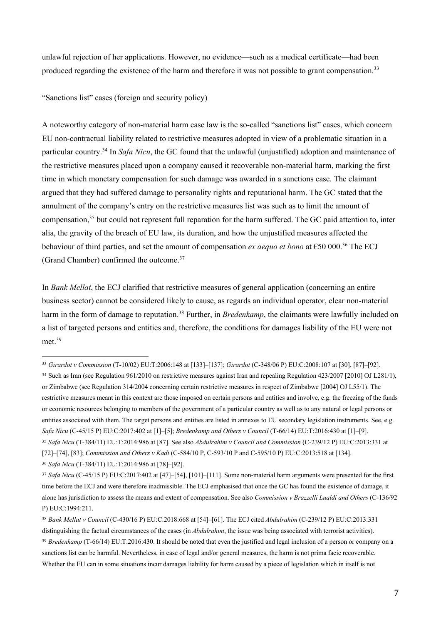unlawful rejection of her applications. However, no evidence—such as a medical certificate—had been produced regarding the existence of the harm and therefore it was not possible to grant compensation.<sup>33</sup>

"Sanctions list" cases (foreign and security policy)

A noteworthy category of non-material harm case law is the so-called "sanctions list" cases, which concern EU non-contractual liability related to restrictive measures adopted in view of a problematic situation in a particular country. <sup>34</sup> In *Safa Nicu*, the GC found that the unlawful (unjustified) adoption and maintenance of the restrictive measures placed upon a company caused it recoverable non-material harm, marking the first time in which monetary compensation for such damage was awarded in a sanctions case. The claimant argued that they had suffered damage to personality rights and reputational harm. The GC stated that the annulment of the company's entry on the restrictive measures list was such as to limit the amount of compensation,<sup>35</sup> but could not represent full reparation for the harm suffered. The GC paid attention to, inter alia, the gravity of the breach of EU law, its duration, and how the unjustified measures affected the behaviour of third parties, and set the amount of compensation *ex aequo et bono* at €50 000. <sup>36</sup> The ECJ (Grand Chamber) confirmed the outcome.<sup>37</sup>

In *Bank Mellat*, the ECJ clarified that restrictive measures of general application (concerning an entire business sector) cannot be considered likely to cause, as regards an individual operator, clear non-material harm in the form of damage to reputation.<sup>38</sup> Further, in *Bredenkamp*, the claimants were lawfully included on a list of targeted persons and entities and, therefore, the conditions for damages liability of the EU were not met.<sup>39</sup>

 <sup>33</sup> *Girardot v Commission* (T-10/02) EU:T:2006:148 at [133]–[137]; *Girardot* (C-348/06 P) EU:C:2008:107 at [30], [87]–[92].

<sup>34</sup> Such as Iran (see Regulation 961/2010 on restrictive measures against Iran and repealing Regulation 423/2007 [2010] OJ L281/1), or Zimbabwe (see Regulation 314/2004 concerning certain restrictive measures in respect of Zimbabwe [2004] OJ L55/1). The restrictive measures meant in this context are those imposed on certain persons and entities and involve, e.g. the freezing of the funds or economic resources belonging to members of the government of a particular country as well as to any natural or legal persons or entities associated with them. The target persons and entities are listed in annexes to EU secondary legislation instruments. See, e.g. *Safa Nicu* (C-45/15 P) EU:C:2017:402 at [1]–[5]; *Bredenkamp and Others v Council* (T-66/14) EU:T:2016:430 at [1]–[9]. <sup>35</sup> *Safa Nicu* (T-384/11) EU:T:2014:986 at [87]. See also *Abdulrahim v Council and Commission* (C-239/12 P) EU:C:2013:331 at [72]–[74], [83]; *Commission and Others v Kadi* (C-584/10 P, C-593/10 P and C-595/10 P) EU:C:2013:518 at [134]. <sup>36</sup> *Safa Nicu* (T-384/11) EU:T:2014:986 at [78]–[92].

<sup>37</sup> *Safa Nicu* (C-45/15 P) EU:C:2017:402 at [47]–[54], [101]–[111]. Some non-material harm arguments were presented for the first time before the ECJ and were therefore inadmissible. The ECJ emphasised that once the GC has found the existence of damage, it alone has jurisdiction to assess the means and extent of compensation. See also *Commission v Brazzelli Lualdi and Others* (C-136/92 P) EU:C:1994:211.

<sup>38</sup> *Bank Mellat v Council* (C-430/16 P) EU:C:2018:668 at [54]–[61]. The ECJ cited *Abdulrahim* (C-239/12 P) EU:C:2013:331 distinguishing the factual circumstances of the cases (in *Abdulrahim*, the issue was being associated with terrorist activities). <sup>39</sup> Bredenkamp (T-66/14) EU:T:2016:430. It should be noted that even the justified and legal inclusion of a person or company on a sanctions list can be harmful. Nevertheless, in case of legal and/or general measures, the harm is not prima facie recoverable. Whether the EU can in some situations incur damages liability for harm caused by a piece of legislation which in itself is not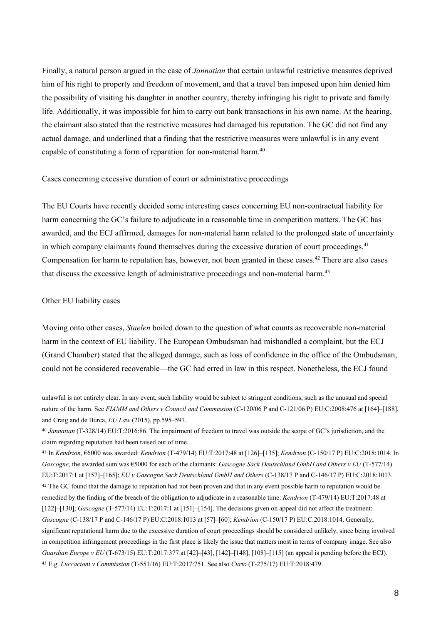Finally, a natural person argued in the case of *Jannatian* that certain unlawful restrictive measures deprived him of his right to property and freedom of movement, and that a travel ban imposed upon him denied him the possibility of visiting his daughter in another country, thereby infringing his right to private and family life. Additionally, it was impossible for him to carry out bank transactions in his own name. At the hearing, the claimant also stated that the restrictive measures had damaged his reputation. The GC did not find any actual damage, and underlined that a finding that the restrictive measures were unlawful is in any event capable of constituting a form of reparation for non-material harm.<sup>40</sup>

Cases concerning excessive duration of court or administrative proceedings

The EU Courts have recently decided some interesting cases concerning EU non-contractual liability for harm concerning the GC's failure to adjudicate in a reasonable time in competition matters. The GC has awarded, and the ECJ affirmed, damages for non-material harm related to the prolonged state of uncertainty in which company claimants found themselves during the excessive duration of court proceedings.<sup>41</sup> Compensation for harm to reputation has, however, not been granted in these cases.<sup>42</sup> There are also cases that discuss the excessive length of administrative proceedings and non-material harm.<sup>43</sup>

#### Other EU liability cases

Moving onto other cases, *Staelen* boiled down to the question of what counts as recoverable non-material harm in the context of EU liability. The European Ombudsman had mishandled a complaint, but the ECJ (Grand Chamber) stated that the alleged damage, such as loss of confidence in the office of the Ombudsman, could not be considered recoverable—the GC had erred in law in this respect. Nonetheless, the ECJ found

unlawful is not entirely clear. In any event, such liability would be subject to stringent conditions, such as the unusual and special nature of the harm. See *FIAMM and Others v Council and Commission* (C-120/06 P and C-121/06 P) EU:C:2008:476 at [164]–[188], and Craig and de Búrca, *EU Law* (2015), pp.595–597.

<sup>40</sup> *Jannatian* (T-328/14) EU:T:2016:86. The impairment of freedom to travel was outside the scope of GC's jurisdiction, and the claim regarding reputation had been raised out of time.

<sup>41</sup> In *Kendrion*, €6000 was awarded: *Kendrion* (T-479/14) EU:T:2017:48 at [126]–[135]; *Kendrion* (C-150/17 P) EU:C:2018:1014. In *Gascogne*, the awarded sum was €5000 for each of the claimants: *Gascogne Sack Deutschland GmbH and Others v EU* (T-577/14) EU:T:2017:1 at [157]–[165]; *EU v Gascogne Sack Deutschland GmbH and Others* (C-138/17 P and C-146/17 P) EU:C:2018:1013.

<sup>&</sup>lt;sup>42</sup> The GC found that the damage to reputation had not been proven and that in any event possible harm to reputation would be remedied by the finding of the breach of the obligation to adjudicate in a reasonable time: *Kendrion* (T-479/14) EU:T:2017:48 at [122]–[130]; *Gascogne* (T-577/14) EU:T:2017:1 at [151]–[154]. The decisions given on appeal did not affect the treatment: *Gascogne* (C-138/17 P and C-146/17 P) EU:C:2018:1013 at [57]–[60]; *Kendrion* (C-150/17 P) EU:C:2018:1014. Generally, significant reputational harm due to the excessive duration of court proceedings should be considered unlikely, since being involved in competition infringement proceedings in the first place is likely the issue that matters most in terms of company image. See also *Guardian Europe v EU* (T-673/15) EU:T:2017:377 at [42]–[43], [142]–[148], [108]–[115] (an appeal is pending before the ECJ). <sup>43</sup> E.g. *Luccacioni v Commission* (T-551/16) EU:T:2017:751. See also *Curto* (T-275/17) EU:T:2018:479.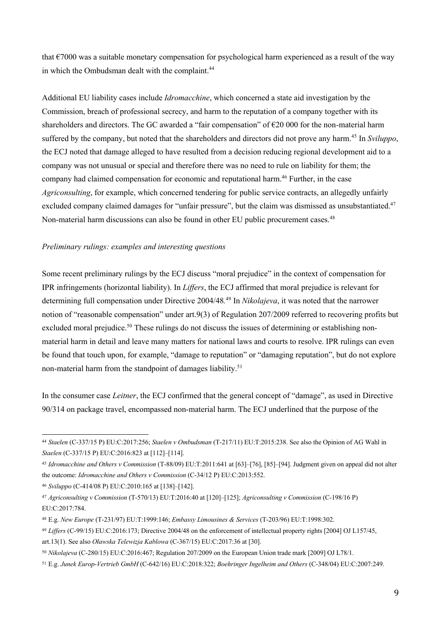that €7000 was a suitable monetary compensation for psychological harm experienced as a result of the way in which the Ombudsman dealt with the complaint.<sup>44</sup>

Additional EU liability cases include *Idromacchine*, which concerned a state aid investigation by the Commission, breach of professional secrecy, and harm to the reputation of a company together with its shareholders and directors. The GC awarded a "fair compensation" of €20 000 for the non-material harm suffered by the company, but noted that the shareholders and directors did not prove any harm.<sup>45</sup> In *Sviluppo*, the ECJ noted that damage alleged to have resulted from a decision reducing regional development aid to a company was not unusual or special and therefore there was no need to rule on liability for them; the company had claimed compensation for economic and reputational harm. <sup>46</sup> Further, in the case *Agriconsulting*, for example, which concerned tendering for public service contracts, an allegedly unfairly excluded company claimed damages for "unfair pressure", but the claim was dismissed as unsubstantiated.<sup>47</sup> Non-material harm discussions can also be found in other EU public procurement cases.<sup>48</sup>

# *Preliminary rulings: examples and interesting questions*

Some recent preliminary rulings by the ECJ discuss "moral prejudice" in the context of compensation for IPR infringements (horizontal liability). In *Liffers*, the ECJ affirmed that moral prejudice is relevant for determining full compensation under Directive 2004/48*.* <sup>49</sup> In *Nikolajeva*, it was noted that the narrower notion of "reasonable compensation" under art.9(3) of Regulation 207/2009 referred to recovering profits but excluded moral prejudice.<sup>50</sup> These rulings do not discuss the issues of determining or establishing nonmaterial harm in detail and leave many matters for national laws and courts to resolve. IPR rulings can even be found that touch upon, for example, "damage to reputation" or "damaging reputation", but do not explore non-material harm from the standpoint of damages liability.<sup>51</sup>

In the consumer case *Leitner*, the ECJ confirmed that the general concept of "damage", as used in Directive 90/314 on package travel, encompassed non-material harm. The ECJ underlined that the purpose of the

 <sup>44</sup> *Staelen* (C-337/15 P) EU:C:2017:256; *Staelen <sup>v</sup> Ombudsman* (T-217/11) EU:T:2015:238. See also the Opinion of AG Wahl in *Staelen* (C-337/15 P) EU:C:2016:823 at [112]–[114].

<sup>45</sup> *Idromacchine and Others v Commission* (T-88/09) EU:T:2011:641 at [63]–[76], [85]–[94]. Judgment given on appeal did not alter the outcome: *Idromacchine and Others v Commission* (C-34/12 P) EU:C:2013:552.

<sup>46</sup> *Sviluppo* (C-414/08 P) EU:C:2010:165 at [138]–[142].

<sup>47</sup> *Agriconsulting v Commission* (T-570/13) EU:T:2016:40 at [120]–[125]; *Agriconsulting v Commission* (C-198/16 P) EU:C:2017:784.

<sup>48</sup> E.g. *New Europe* (T-231/97) EU:T:1999:146; *Embassy Limousines & Services* (T-203/96) EU:T:1998:302.

<sup>49</sup> *Liffers* (C-99/15) EU:C:2016:173; Directive 2004/48 on the enforcement of intellectual property rights [2004] OJ L157/45,

art.13(1). See also *Oławska Telewizja Kablowa* (C-367/15) EU:C:2017:36 at [30].

<sup>50</sup> *Nikolajeva* (C-280/15) EU:C:2016:467; Regulation 207/2009 on the European Union trade mark [2009] OJ L78/1.

<sup>51</sup> E.g. *Junek Europ-Vertrieb GmbH* (C-642/16) EU:C:2018:322; *Boehringer Ingelheim and Others* (C-348/04) EU:C:2007:249.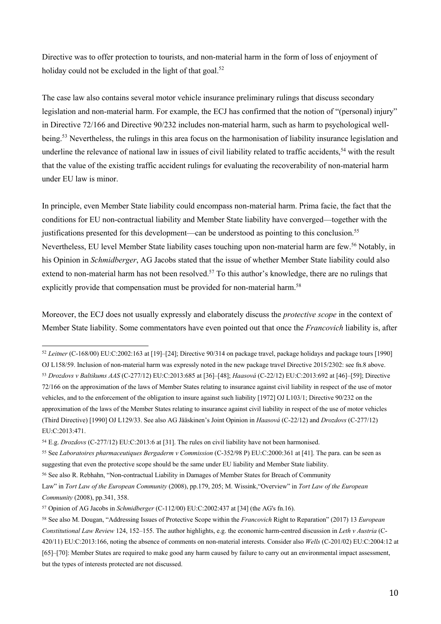Directive was to offer protection to tourists, and non-material harm in the form of loss of enjoyment of holiday could not be excluded in the light of that goal.<sup>52</sup>

The case law also contains several motor vehicle insurance preliminary rulings that discuss secondary legislation and non-material harm. For example, the ECJ has confirmed that the notion of "(personal) injury" in Directive 72/166 and Directive 90/232 includes non-material harm, such as harm to psychological wellbeing.53 Nevertheless, the rulings in this area focus on the harmonisation of liability insurance legislation and underline the relevance of national law in issues of civil liability related to traffic accidents,<sup>54</sup> with the result that the value of the existing traffic accident rulings for evaluating the recoverability of non-material harm under EU law is minor.

In principle, even Member State liability could encompass non-material harm. Prima facie, the fact that the conditions for EU non-contractual liability and Member State liability have converged—together with the justifications presented for this development—can be understood as pointing to this conclusion.<sup>55</sup> Nevertheless, EU level Member State liability cases touching upon non-material harm are few. <sup>56</sup> Notably, in his Opinion in *Schmidberger*, AG Jacobs stated that the issue of whether Member State liability could also extend to non-material harm has not been resolved.<sup>57</sup> To this author's knowledge, there are no rulings that explicitly provide that compensation must be provided for non-material harm.<sup>58</sup>

Moreover, the ECJ does not usually expressly and elaborately discuss the *protective scope* in the context of Member State liability. Some commentators have even pointed out that once the *Francovich* liability is, after

 <sup>52</sup> *Leitner* (C-168/00) EU:C:2002:163 at [19]–[24]; Directive 90/314 on package travel, package holidays and package tours [1990]

OJ L158/59. Inclusion of non-material harm was expressly noted in the new package travel Directive 2015/2302: see fn.8 above.

<sup>53</sup> *Drozdovs v Baltikums AAS* (C-277/12) EU:C:2013:685 at [36]–[48]; *Haasová* (C-22/12) EU:C:2013:692 at [46]–[59]; Directive 72/166 on the approximation of the laws of Member States relating to insurance against civil liability in respect of the use of motor vehicles, and to the enforcement of the obligation to insure against such liability [1972] OJ L103/1; Directive 90/232 on the approximation of the laws of the Member States relating to insurance against civil liability in respect of the use of motor vehicles (Third Directive) [1990] OJ L129/33. See also AG Jääskinen's Joint Opinion in *Haasová* (C-22/12) and *Drozdovs* (C-277/12) EU:C:2013:471.

<sup>54</sup> E.g. *Drozdovs* (C-277/12) EU:C:2013:6 at [31]. The rules on civil liability have not been harmonised.

<sup>55</sup> See *Laboratoires pharmaceutiques Bergaderm v Commission* (C-352/98 P) EU:C:2000:361 at [41]. The para. can be seen as suggesting that even the protective scope should be the same under EU liability and Member State liability.

<sup>56</sup> See also R. Rebhahn, "Non-contractual Liability in Damages of Member States for Breach of Community

Law" in *Tort Law of the European Community* (2008), pp.179, 205; M. Wissink,"Overview" in *Tort Law of the European Community* (2008), pp.341, 358.

<sup>57</sup> Opinion of AG Jacobs in *Schmidberger* (C-112/00) EU:C:2002:437 at [34] (the AG's fn.16).

<sup>58</sup> See also M. Dougan, "Addressing Issues of Protective Scope within the *Francovich* Right to Reparation" (2017) 13 *European Constitutional Law Review* 124, 152–155. The author highlights, e.g. the economic harm-centred discussion in *Leth v Austria* (C-420/11) EU:C:2013:166, noting the absence of comments on non-material interests. Consider also *Wells* (C-201/02) EU:C:2004:12 at [65]–[70]: Member States are required to make good any harm caused by failure to carry out an environmental impact assessment, but the types of interests protected are not discussed.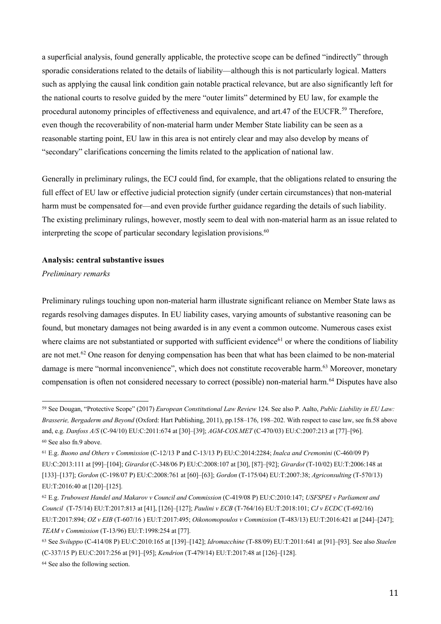a superficial analysis, found generally applicable, the protective scope can be defined "indirectly" through sporadic considerations related to the details of liability—although this is not particularly logical. Matters such as applying the causal link condition gain notable practical relevance, but are also significantly left for the national courts to resolve guided by the mere "outer limits" determined by EU law, for example the procedural autonomy principles of effectiveness and equivalence, and art.47 of the EUCFR.<sup>59</sup> Therefore, even though the recoverability of non-material harm under Member State liability can be seen as a reasonable starting point, EU law in this area is not entirely clear and may also develop by means of "secondary" clarifications concerning the limits related to the application of national law.

Generally in preliminary rulings, the ECJ could find, for example, that the obligations related to ensuring the full effect of EU law or effective judicial protection signify (under certain circumstances) that non-material harm must be compensated for—and even provide further guidance regarding the details of such liability. The existing preliminary rulings, however, mostly seem to deal with non-material harm as an issue related to interpreting the scope of particular secondary legislation provisions. $60$ 

#### **Analysis: central substantive issues**

*Preliminary remarks*

Preliminary rulings touching upon non-material harm illustrate significant reliance on Member State laws as regards resolving damages disputes. In EU liability cases, varying amounts of substantive reasoning can be found, but monetary damages not being awarded is in any event a common outcome. Numerous cases exist where claims are not substantiated or supported with sufficient evidence<sup>61</sup> or where the conditions of liability are not met.<sup>62</sup> One reason for denying compensation has been that what has been claimed to be non-material damage is mere "normal inconvenience", which does not constitute recoverable harm.<sup>63</sup> Moreover, monetary compensation is often not considered necessary to correct (possible) non-material harm.<sup>64</sup> Disputes have also

 <sup>59</sup> See Dougan, "Protective Scope" (2017) *European Constitutional Law Review* 124. See also P. Aalto, *Public Liability in EU Law: Brasserie, Bergaderm and Beyond* (Oxford: Hart Publishing, 2011), pp.158–176, 198–202. With respect to case law, see fn.58 above and, e.g. *Danfoss A/S* (C-94/10) EU:C:2011:674 at [30]–[39]; *AGM-COS.MET* (C-470/03) EU:C:2007:213 at [77]–[96]. <sup>60</sup> See also fn.9 above.

<sup>61</sup> E.g. *Buono and Others v Commission* (C-12/13 P and C-13/13 P) EU:C:2014:2284; *Inalca and Cremonini* (C-460/09 P) EU:C:2013:111 at [99]–[104]; *Girardot* (C-348/06 P) EU:C:2008:107 at [30], [87]–[92]; *Girardot* (T-10/02) EU:T:2006:148 at [133]–[137]; *Gordon* (C-198/07 P) EU:C:2008:761 at [60]–[63]; *Gordon* (T-175/04) EU:T:2007:38; *Agriconsulting* (T-570/13) EU:T:2016:40 at [120]–[125].

<sup>62</sup> E.g. *Trubowest Handel and Makarov v Council and Commission* (C-419/08 P) EU:C:2010:147; *USFSPEI v Parliament and Council* (T-75/14) EU:T:2017:813 at [41], [126]–[127]; *Paulini v ECB* (T-764/16) EU:T:2018:101; *CJ v ECDC* (T-692/16) EU:T:2017:894; *OZ v EIB* (T-607/16 ) EU:T:2017:495; *Oikonomopoulos v Commission* (T-483/13) EU:T:2016:421 at [244]–[247]; *TEAM v Commission* (T-13/96) EU:T:1998:254 at [77].

<sup>63</sup> See *Sviluppo* (C-414/08 P) EU:C:2010:165 at [139]–[142]; *Idromacchine* (T-88/09) EU:T:2011:641 at [91]–[93]. See also *Staelen* (C-337/15 P) EU:C:2017:256 at [91]–[95]; *Kendrion* (T-479/14) EU:T:2017:48 at [126]–[128].

<sup>64</sup> See also the following section.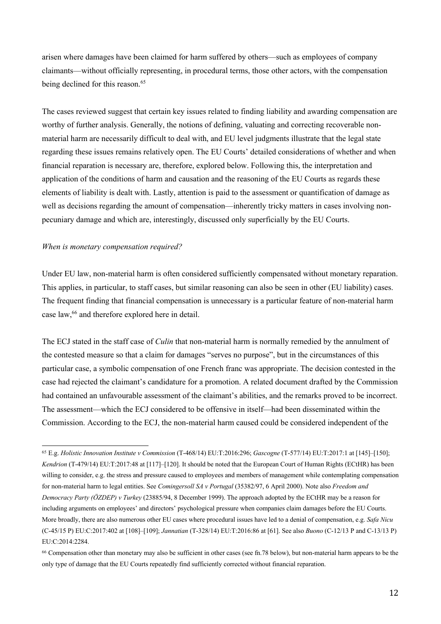arisen where damages have been claimed for harm suffered by others—such as employees of company claimants—without officially representing, in procedural terms, those other actors, with the compensation being declined for this reason. 65

The cases reviewed suggest that certain key issues related to finding liability and awarding compensation are worthy of further analysis. Generally, the notions of defining, valuating and correcting recoverable nonmaterial harm are necessarily difficult to deal with, and EU level judgments illustrate that the legal state regarding these issues remains relatively open. The EU Courts' detailed considerations of whether and when financial reparation is necessary are, therefore, explored below. Following this, the interpretation and application of the conditions of harm and causation and the reasoning of the EU Courts as regards these elements of liability is dealt with. Lastly, attention is paid to the assessment or quantification of damage as well as decisions regarding the amount of compensation—inherently tricky matters in cases involving nonpecuniary damage and which are, interestingly, discussed only superficially by the EU Courts.

#### *When is monetary compensation required?*

Under EU law, non-material harm is often considered sufficiently compensated without monetary reparation. This applies, in particular, to staff cases, but similar reasoning can also be seen in other (EU liability) cases. The frequent finding that financial compensation is unnecessary is a particular feature of non-material harm case law,66 and therefore explored here in detail.

The ECJ stated in the staff case of *Culin* that non-material harm is normally remedied by the annulment of the contested measure so that a claim for damages "serves no purpose", but in the circumstances of this particular case, a symbolic compensation of one French franc was appropriate. The decision contested in the case had rejected the claimant's candidature for a promotion. A related document drafted by the Commission had contained an unfavourable assessment of the claimant's abilities, and the remarks proved to be incorrect. The assessment—which the ECJ considered to be offensive in itself—had been disseminated within the Commission. According to the ECJ, the non-material harm caused could be considered independent of the

 <sup>65</sup> E.g. *Holistic Innovation Institute v Commission* (T-468/14) EU:T:2016:296; *Gascogne* (T-577/14) EU:T:2017:1 at [145]–[150]; *Kendrion* (T-479/14) EU:T:2017:48 at [117]–[120]. It should be noted that the European Court of Human Rights (ECtHR) has been willing to consider, e.g. the stress and pressure caused to employees and members of management while contemplating compensation for non-material harm to legal entities. See *Comingersoll SA v Portugal* (35382/97, 6 April 2000). Note also *Freedom and Democracy Party (ÖZDEP) v Turkey* (23885/94, 8 December 1999). The approach adopted by the ECtHR may be a reason for including arguments on employees' and directors' psychological pressure when companies claim damages before the EU Courts. More broadly, there are also numerous other EU cases where procedural issues have led to a denial of compensation, e.g. *Safa Nicu*  (C-45/15 P) EU:C:2017:402 at [108]–[109]; *Jannatian* (T-328/14) EU:T:2016:86 at [61]. See also *Buono* (C-12/13 P and C-13/13 P) EU:C:2014:2284.

<sup>66</sup> Compensation other than monetary may also be sufficient in other cases (see fn.78 below), but non-material harm appears to be the only type of damage that the EU Courts repeatedly find sufficiently corrected without financial reparation.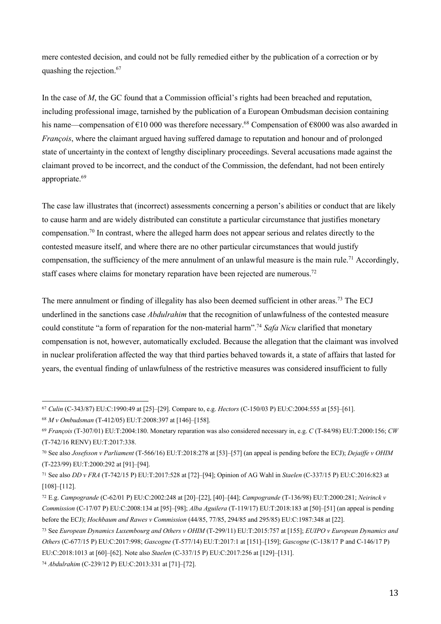mere contested decision, and could not be fully remedied either by the publication of a correction or by quashing the rejection.<sup>67</sup>

In the case of *M*, the GC found that a Commission official's rights had been breached and reputation, including professional image, tarnished by the publication of a European Ombudsman decision containing his name—compensation of €10 000 was therefore necessary.68 Compensation of €8000 was also awarded in *François*, where the claimant argued having suffered damage to reputation and honour and of prolonged state of uncertainty in the context of lengthy disciplinary proceedings. Several accusations made against the claimant proved to be incorrect, and the conduct of the Commission, the defendant, had not been entirely appropriate.<sup>69</sup>

The case law illustrates that (incorrect) assessments concerning a person's abilities or conduct that are likely to cause harm and are widely distributed can constitute a particular circumstance that justifies monetary compensation.70 In contrast, where the alleged harm does not appear serious and relates directly to the contested measure itself, and where there are no other particular circumstances that would justify compensation, the sufficiency of the mere annulment of an unlawful measure is the main rule.<sup>71</sup> Accordingly, staff cases where claims for monetary reparation have been rejected are numerous.<sup>72</sup>

The mere annulment or finding of illegality has also been deemed sufficient in other areas.<sup>73</sup> The ECJ underlined in the sanctions case *Abdulrahim* that the recognition of unlawfulness of the contested measure could constitute "a form of reparation for the non-material harm".<sup>74</sup> *Safa Nicu* clarified that monetary compensation is not, however, automatically excluded. Because the allegation that the claimant was involved in nuclear proliferation affected the way that third parties behaved towards it, a state of affairs that lasted for years, the eventual finding of unlawfulness of the restrictive measures was considered insufficient to fully

 <sup>67</sup> *Culin* (C-343/87) EU:C:1990:49 at [25]–[29]. Compare to, e.g. *Hectors* (C-150/03 P) EU:C:2004:555 at [55]–[61].

<sup>68</sup> *M v Ombudsman* (T-412/05) EU:T:2008:397 at [146]–[158].

<sup>69</sup> *François* (T-307/01) EU:T:2004:180. Monetary reparation was also considered necessary in, e.g. *C* (T-84/98) EU:T:2000:156; *CW* (T-742/16 RENV) EU:T:2017:338.

<sup>70</sup> See also *Josefsson v Parliament* (T-566/16) EU:T:2018:278 at [53]–[57] (an appeal is pending before the ECJ); *Dejaiffe v OHIM* (T-223/99) EU:T:2000:292 at [91]–[94].

<sup>71</sup> See also *DD v FRA* (T-742/15 P) EU:T:2017:528 at [72]–[94]; Opinion of AG Wahl in *Staelen* (C-337/15 P) EU:C:2016:823 at [108]–[112].

<sup>72</sup> E.g. *Campogrande* (C-62/01 P) EU:C:2002:248 at [20]–[22], [40]–[44]; *Campogrande* (T-136/98) EU:T:2000:281; *Neirinck v Commission* (C-17/07 P) EU:C:2008:134 at [95]–[98]; *Alba Aguilera* (T-119/17) EU:T:2018:183 at [50]–[51] (an appeal is pending before the ECJ); *Hochbaum and Rawes v Commission* (44/85, 77/85, 294/85 and 295/85) EU:C:1987:348 at [22].

<sup>73</sup> See *European Dynamics Luxembourg and Others v OHIM* (T-299/11) EU:T:2015:757 at [155]; *EUIPO v European Dynamics and Others* (C‐677/15 P) EU:C:2017:998; *Gascogne* (T-577/14) EU:T:2017:1 at [151]–[159]; *Gascogne* (C-138/17 P and C-146/17 P) EU:C:2018:1013 at [60]–[62]. Note also *Staelen* (C-337/15 P) EU:C:2017:256 at [129]–[131].

<sup>74</sup> *Abdulrahim* (C-239/12 P) EU:C:2013:331 at [71]–[72].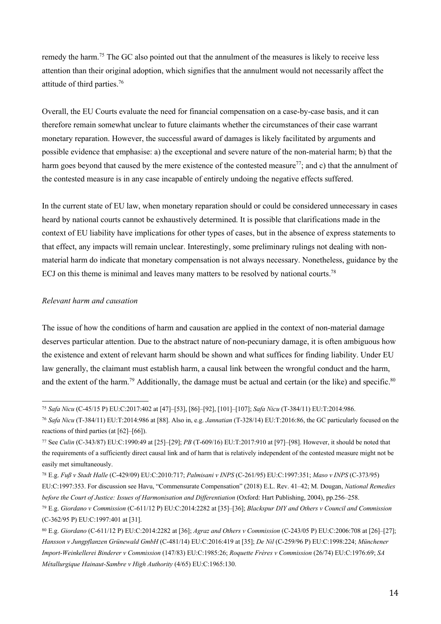remedy the harm.<sup>75</sup> The GC also pointed out that the annulment of the measures is likely to receive less attention than their original adoption, which signifies that the annulment would not necessarily affect the attitude of third parties.76

Overall, the EU Courts evaluate the need for financial compensation on a case-by-case basis, and it can therefore remain somewhat unclear to future claimants whether the circumstances of their case warrant monetary reparation. However, the successful award of damages is likely facilitated by arguments and possible evidence that emphasise: a) the exceptional and severe nature of the non-material harm; b) that the harm goes beyond that caused by the mere existence of the contested measure<sup>77</sup>; and c) that the annulment of the contested measure is in any case incapable of entirely undoing the negative effects suffered.

In the current state of EU law, when monetary reparation should or could be considered unnecessary in cases heard by national courts cannot be exhaustively determined. It is possible that clarifications made in the context of EU liability have implications for other types of cases, but in the absence of express statements to that effect, any impacts will remain unclear. Interestingly, some preliminary rulings not dealing with nonmaterial harm do indicate that monetary compensation is not always necessary. Nonetheless, guidance by the ECJ on this theme is minimal and leaves many matters to be resolved by national courts.<sup>78</sup>

# *Relevant harm and causation*

The issue of how the conditions of harm and causation are applied in the context of non-material damage deserves particular attention. Due to the abstract nature of non-pecuniary damage, it is often ambiguous how the existence and extent of relevant harm should be shown and what suffices for finding liability. Under EU law generally, the claimant must establish harm, a causal link between the wrongful conduct and the harm, and the extent of the harm.<sup>79</sup> Additionally, the damage must be actual and certain (or the like) and specific.<sup>80</sup>

 <sup>75</sup> *Safa Nicu* (C-45/15 P) EU:C:2017:402 at [47]–[53], [86]–[92], [101]–[107]; *Safa Nicu* (T-384/11) EU:T:2014:986.

<sup>76</sup> *Safa Nicu* (T-384/11) EU:T:2014:986 at [88]. Also in, e.g. *Jannatian* (T-328/14) EU:T:2016:86, the GC particularly focused on the reactions of third parties (at [62]–[66]).

<sup>77</sup> See *Culin* (C-343/87) EU:C:1990:49 at [25]–[29]; *PB* (T-609/16) EU:T:2017:910 at [97]–[98]. However, it should be noted that the requirements of a sufficiently direct causal link and of harm that is relatively independent of the contested measure might not be easily met simultaneously.

<sup>78</sup> E.g. *Fuß v Stadt Halle* (C-429/09) EU:C:2010:717; *Palmisani v INPS* (C-261/95) EU:C:1997:351; *Maso v INPS* (C-373/95)

EU:C:1997:353. For discussion see Havu, "Commensurate Compensation" (2018) E.L. Rev. 41–42; M. Dougan, *National Remedies before the Court of Justice: Issues of Harmonisation and Differentiation* (Oxford: Hart Publishing, 2004), pp.256–258.

<sup>79</sup> E.g. *Giordano v Commission* (C-611/12 P) EU:C:2014:2282 at [35]–[36]; *Blackspur DIY and Others v Council and Commission* (C-362/95 P) EU:C:1997:401 at [31].

<sup>80</sup> E.g. *Giordano* (C-611/12 P) EU:C:2014:2282 at [36]; *Agraz and Others v Commission* (C-243/05 P) EU:C:2006:708 at [26]–[27]; *Hansson v Jungpflanzen Grünewald GmbH* (C-481/14) EU:C:2016:419 at [35]; *De Nil* (C-259/96 P) EU:C:1998:224; *Münchener Import-Weinkellerei Binderer v Commission* (147/83) EU:C:1985:26; *Roquette Frères v Commission* (26/74) EU:C:1976:69; *SA Métallurgique Hainaut-Sambre v High Authority* (4/65) EU:C:1965:130.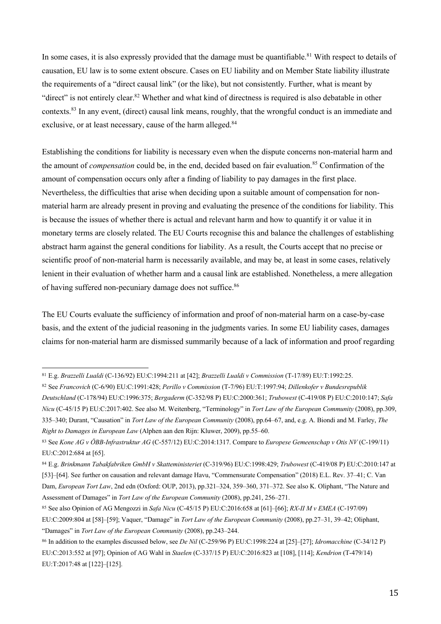In some cases, it is also expressly provided that the damage must be quantifiable.<sup>81</sup> With respect to details of causation, EU law is to some extent obscure. Cases on EU liability and on Member State liability illustrate the requirements of a "direct causal link" (or the like), but not consistently. Further, what is meant by "direct" is not entirely clear.<sup>82</sup> Whether and what kind of directness is required is also debatable in other contexts.83 In any event, (direct) causal link means, roughly, that the wrongful conduct is an immediate and exclusive, or at least necessary, cause of the harm alleged.<sup>84</sup>

Establishing the conditions for liability is necessary even when the dispute concerns non-material harm and the amount of *compensation* could be, in the end, decided based on fair evaluation.<sup>85</sup> Confirmation of the amount of compensation occurs only after a finding of liability to pay damages in the first place. Nevertheless, the difficulties that arise when deciding upon a suitable amount of compensation for nonmaterial harm are already present in proving and evaluating the presence of the conditions for liability. This is because the issues of whether there is actual and relevant harm and how to quantify it or value it in monetary terms are closely related. The EU Courts recognise this and balance the challenges of establishing abstract harm against the general conditions for liability. As a result, the Courts accept that no precise or scientific proof of non-material harm is necessarily available, and may be, at least in some cases, relatively lenient in their evaluation of whether harm and a causal link are established. Nonetheless, a mere allegation of having suffered non-pecuniary damage does not suffice.<sup>86</sup>

The EU Courts evaluate the sufficiency of information and proof of non-material harm on a case-by-case basis, and the extent of the judicial reasoning in the judgments varies. In some EU liability cases, damages claims for non-material harm are dismissed summarily because of a lack of information and proof regarding

 <sup>81</sup> E.g. *Brazzelli Lualdi* (C-136/92) EU:C:1994:211 at [42]; *Brazzelli Lualdi v Commission* (T-17/89) EU:T:1992:25.

<sup>82</sup> See *Francovich* (C-6/90) EU:C:1991:428; *Perillo v Commission* (T-7/96) EU:T:1997:94; *Dillenkofer v Bundesrepublik Deutschland* (C-178/94) EU:C:1996:375; *Bergaderm* (C-352/98 P) EU:C:2000:361; *Trubowest* (C-419/08 P) EU:C:2010:147; *Safa Nicu* (C-45/15 P) EU:C:2017:402. See also M. Weitenberg, "Terminology" in *Tort Law of the European Community* (2008), pp.309, 335–340; Durant, "Causation" in *Tort Law of the European Community* (2008), pp.64–67, and, e.g. A. Biondi and M. Farley, *The Right to Damages in European Law* (Alphen aan den Rijn: Kluwer, 2009), pp.55–60.

<sup>83</sup> See *Kone AG v ÖBB-Infrastruktur AG* (C-557/12) EU:C:2014:1317. Compare to *Europese Gemeenschap v Otis NV* (C-199/11) EU:C:2012:684 at [65].

<sup>84</sup> E.g. *Brinkmann Tabakfabriken GmbH v Skatteministeriet* (C-319/96) EU:C:1998:429; *Trubowest* (C-419/08 P) EU:C:2010:147 at [53]–[64]. See further on causation and relevant damage Havu, "Commensurate Compensation" (2018) E.L. Rev. 37–41; C. Van

Dam, *European Tort Law*, 2nd edn (Oxford: OUP, 2013), pp.321–324, 359–360, 371–372. See also K. Oliphant, "The Nature and Assessment of Damages" in *Tort Law of the European Community* (2008), pp.241, 256–271.

<sup>85</sup> See also Opinion of AG Mengozzi in *Safa Nicu* (C-45/15 P) EU:C:2016:658 at [61]–[66]; *RX-II M v EMEA* (C-197/09) EU:C:2009:804 at [58]–[59]; Vaquer, "Damage" in *Tort Law of the European Community* (2008), pp.27–31, 39–42; Oliphant, "Damages" in *Tort Law of the European Community* (2008), pp.243–244.

<sup>86</sup> In addition to the examples discussed below, see *De Nil* (C-259/96 P) EU:C:1998:224 at [25]–[27]; *Idromacchine* (C-34/12 P) EU:C:2013:552 at [97]; Opinion of AG Wahl in *Staelen* (C-337/15 P) EU:C:2016:823 at [108], [114]; *Kendrion* (T-479/14) EU:T:2017:48 at [122]–[125].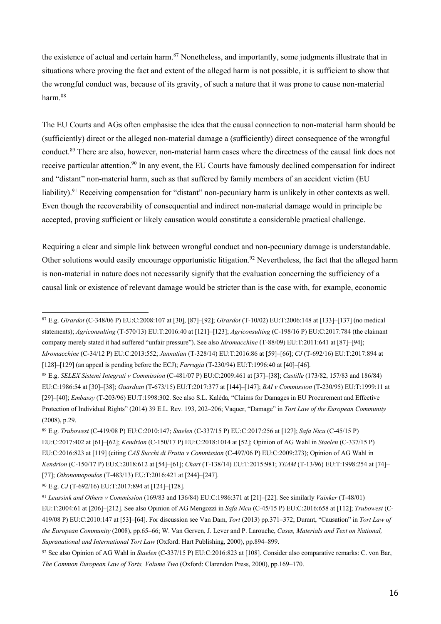the existence of actual and certain harm.<sup>87</sup> Nonetheless, and importantly, some judgments illustrate that in situations where proving the fact and extent of the alleged harm is not possible, it is sufficient to show that the wrongful conduct was, because of its gravity, of such a nature that it was prone to cause non-material harm.88

The EU Courts and AGs often emphasise the idea that the causal connection to non-material harm should be (sufficiently) direct or the alleged non-material damage a (sufficiently) direct consequence of the wrongful conduct.89 There are also, however, non-material harm cases where the directness of the causal link does not receive particular attention.<sup>90</sup> In any event, the EU Courts have famously declined compensation for indirect and "distant" non-material harm, such as that suffered by family members of an accident victim (EU liability).<sup>91</sup> Receiving compensation for "distant" non-pecuniary harm is unlikely in other contexts as well. Even though the recoverability of consequential and indirect non-material damage would in principle be accepted, proving sufficient or likely causation would constitute a considerable practical challenge.

Requiring a clear and simple link between wrongful conduct and non-pecuniary damage is understandable. Other solutions would easily encourage opportunistic litigation.<sup>92</sup> Nevertheless, the fact that the alleged harm is non-material in nature does not necessarily signify that the evaluation concerning the sufficiency of a causal link or existence of relevant damage would be stricter than is the case with, for example, economic

<sup>90</sup> E.g. *CJ* (T-692/16) EU:T:2017:894 at [124]–[128].

 <sup>87</sup> E.g. *Girardot* (C-348/06 P) EU:C:2008:107 at [30], [87]–[92]; *Girardot* (T-10/02) EU:T:2006:148 at [133]–[137] (no medical statements); *Agriconsulting* (T-570/13) EU:T:2016:40 at [121]–[123]; *Agriconsulting* (C-198/16 P) EU:C:2017:784 (the claimant company merely stated it had suffered "unfair pressure"). See also *Idromacchine* (T-88/09) EU:T:2011:641 at [87]–[94]; *Idromacchine* (C-34/12 P) EU:C:2013:552; *Jannatian* (T-328/14) EU:T:2016:86 at [59]–[66]; *CJ* (T-692/16) EU:T:2017:894 at [128]–[129] (an appeal is pending before the ECJ); *Farrugia* (T-230/94) EU:T:1996:40 at [40]–[46].

<sup>88</sup> E.g. *SELEX Sistemi Integrati v Commission* (C-481/07 P) EU:C:2009:461 at [37]–[38]; *Castille* (173/82, 157/83 and 186/84) EU:C:1986:54 at [30]–[38]; *Guardian* (T-673/15) EU:T:2017:377 at [144]–[147]; *BAI v Commission* (T-230/95) EU:T:1999:11 at [29]–[40]; *Embassy* (T-203/96) EU:T:1998:302. See also S.L. Kalėda, "Claims for Damages in EU Procurement and Effective Protection of Individual Rights" (2014) 39 E.L. Rev. 193, 202–206; Vaquer, "Damage" in *Tort Law of the European Community* (2008), p.29.

<sup>89</sup> E.g. *Trubowest* (C-419/08 P) EU:C:2010:147; *Staelen* (C-337/15 P) EU:C:2017:256 at [127]; *Safa Nicu* (C-45/15 P) EU:C:2017:402 at [61]–[62]; *Kendrion* (C-150/17 P) EU:C:2018:1014 at [52]; Opinion of AG Wahl in *Staelen* (C-337/15 P) EU:C:2016:823 at [119] (citing *CAS Succhi di Frutta v Commission* (C-497/06 P) EU:C:2009:273); Opinion of AG Wahl in *Kendrion* (C-150/17 P) EU:C:2018:612 at [54]–[61]; *Chart* (T-138/14) EU:T:2015:981; *TEAM* (T-13/96) EU:T:1998:254 at [74]– [77]; *Oikonomopoulos* (T-483/13) EU:T:2016:421 at [244]–[247].

<sup>91</sup> *Leussink and Others v Commission* (169/83 and 136/84) EU:C:1986:371 at [21]–[22]. See similarly *Vainker* (T-48/01) EU:T:2004:61 at [206]–[212]. See also Opinion of AG Mengozzi in *Safa Nicu* (C-45/15 P) EU:C:2016:658 at [112]; *Trubowest* (C-419/08 P) EU:C:2010:147 at [53]–[64]. For discussion see Van Dam, *Tort* (2013) pp.371–372; Durant, "Causation" in *Tort Law of the European Community* (2008), pp.65–66; W. Van Gerven, J. Lever and P. Larouche, *Cases, Materials and Text on National, Supranational and International Tort Law* (Oxford: Hart Publishing, 2000), pp.894–899.

<sup>92</sup> See also Opinion of AG Wahl in *Staelen* (C-337/15 P) EU:C:2016:823 at [108]. Consider also comparative remarks: C. von Bar, *The Common European Law of Torts, Volume Two* (Oxford: Clarendon Press, 2000), pp.169–170.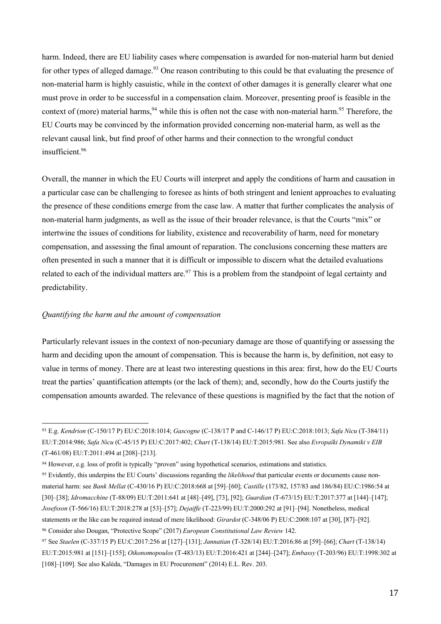harm. Indeed, there are EU liability cases where compensation is awarded for non-material harm but denied for other types of alleged damage.<sup>93</sup> One reason contributing to this could be that evaluating the presence of non-material harm is highly casuistic, while in the context of other damages it is generally clearer what one must prove in order to be successful in a compensation claim. Moreover, presenting proof is feasible in the context of (more) material harms,  $94$  while this is often not the case with non-material harm.  $95$  Therefore, the EU Courts may be convinced by the information provided concerning non-material harm, as well as the relevant causal link, but find proof of other harms and their connection to the wrongful conduct insufficient.96

Overall, the manner in which the EU Courts will interpret and apply the conditions of harm and causation in a particular case can be challenging to foresee as hints of both stringent and lenient approaches to evaluating the presence of these conditions emerge from the case law. A matter that further complicates the analysis of non-material harm judgments, as well as the issue of their broader relevance, is that the Courts "mix" or intertwine the issues of conditions for liability, existence and recoverability of harm, need for monetary compensation, and assessing the final amount of reparation. The conclusions concerning these matters are often presented in such a manner that it is difficult or impossible to discern what the detailed evaluations related to each of the individual matters are.<sup>97</sup> This is a problem from the standpoint of legal certainty and predictability.

# *Quantifying the harm and the amount of compensation*

Particularly relevant issues in the context of non-pecuniary damage are those of quantifying or assessing the harm and deciding upon the amount of compensation. This is because the harm is, by definition, not easy to value in terms of money. There are at least two interesting questions in this area: first, how do the EU Courts treat the parties' quantification attempts (or the lack of them); and, secondly, how do the Courts justify the compensation amounts awarded. The relevance of these questions is magnified by the fact that the notion of

 <sup>93</sup> E.g. *Kendrion* (C-150/17 P) EU:C:2018:1014; *Gascogne* (C-138/17 P and C-146/17 P) EU:C:2018:1013; *Safa Nicu* (T-384/11) EU:T:2014:986; *Safa Nicu* (C-45/15 P) EU:C:2017:402; *Chart* (T-138/14) EU:T:2015:981. See also *Evropaïki Dynamiki v EIB* (T-461/08) EU:T:2011:494 at [208]–[213].

<sup>94</sup> However, e.g. loss of profit is typically "proven" using hypothetical scenarios, estimations and statistics.

<sup>95</sup> Evidently, this underpins the EU Courts' discussions regarding the *likelihood* that particular events or documents cause nonmaterial harm: see *Bank Mellat* (C-430/16 P) EU:C:2018:668 at [59]–[60]; *Castille* (173/82, 157/83 and 186/84) EU:C:1986:54 at [30]–[38]; *Idromacchine* (T-88/09) EU:T:2011:641 at [48]–[49], [73], [92]; *Guardian* (T-673/15) EU:T:2017:377 at [144]–[147]; *Josefsson* (T-566/16) EU:T:2018:278 at [53]–[57]; *Dejaiffe* (T-223/99) EU:T:2000:292 at [91]–[94]. Nonetheless, medical statements or the like can be required instead of mere likelihood: *Girardot* (C-348/06 P) EU:C:2008:107 at [30], [87]–[92]. <sup>96</sup> Consider also Dougan, "Protective Scope" (2017) *European Constitutional Law Review* 142.

<sup>97</sup> See *Staelen* (C-337/15 P) EU:C:2017:256 at [127]–[131]; *Jannatian* (T-328/14) EU:T:2016:86 at [59]–[66]; *Chart* (T-138/14) EU:T:2015:981 at [151]–[155]; *Oikonomopoulos* (T-483/13) EU:T:2016:421 at [244]–[247]; *Embassy* (T-203/96) EU:T:1998:302 at [108]–[109]. See also Kalėda, "Damages in EU Procurement" (2014) E.L. Rev. 203.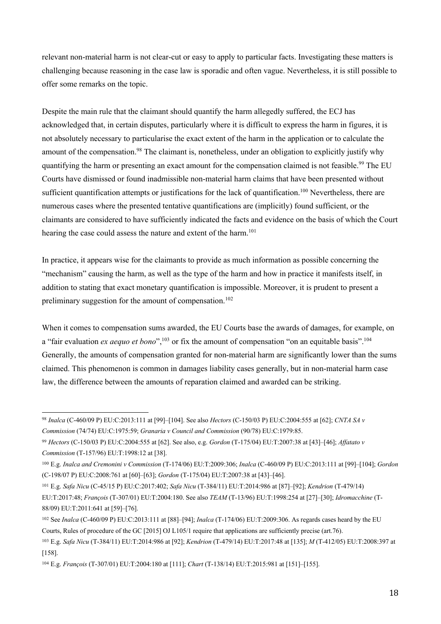relevant non-material harm is not clear-cut or easy to apply to particular facts. Investigating these matters is challenging because reasoning in the case law is sporadic and often vague. Nevertheless, it is still possible to offer some remarks on the topic.

Despite the main rule that the claimant should quantify the harm allegedly suffered, the ECJ has acknowledged that, in certain disputes, particularly where it is difficult to express the harm in figures, it is not absolutely necessary to particularise the exact extent of the harm in the application or to calculate the amount of the compensation.<sup>98</sup> The claimant is, nonetheless, under an obligation to explicitly justify why quantifying the harm or presenting an exact amount for the compensation claimed is not feasible.<sup>99</sup> The EU Courts have dismissed or found inadmissible non-material harm claims that have been presented without sufficient quantification attempts or justifications for the lack of quantification.<sup>100</sup> Nevertheless, there are numerous cases where the presented tentative quantifications are (implicitly) found sufficient, or the claimants are considered to have sufficiently indicated the facts and evidence on the basis of which the Court hearing the case could assess the nature and extent of the harm.<sup>101</sup>

In practice, it appears wise for the claimants to provide as much information as possible concerning the "mechanism" causing the harm, as well as the type of the harm and how in practice it manifests itself, in addition to stating that exact monetary quantification is impossible. Moreover, it is prudent to present a preliminary suggestion for the amount of compensation.<sup>102</sup>

When it comes to compensation sums awarded, the EU Courts base the awards of damages, for example, on a "fair evaluation *ex aequo et bono*",<sup>103</sup> or fix the amount of compensation "on an equitable basis".<sup>104</sup> Generally, the amounts of compensation granted for non-material harm are significantly lower than the sums claimed. This phenomenon is common in damages liability cases generally, but in non-material harm case law, the difference between the amounts of reparation claimed and awarded can be striking.

 <sup>98</sup> *Inalca* (C-460/09 P) EU:C:2013:111 at [99]–[104]. See also *Hectors* (C-150/03 P) EU:C:2004:555 at [62]; *CNTA SA v Commission* (74/74) EU:C:1975:59; *Granaria v Council and Commission* (90/78) EU:C:1979:85.

<sup>99</sup> *Hectors* (C-150/03 P) EU:C:2004:555 at [62]. See also, e.g. *Gordon* (T-175/04) EU:T:2007:38 at [43]–[46]; *Affatato v Commission* (T-157/96) EU:T:1998:12 at [38].

<sup>100</sup> E.g. *Inalca and Cremonini v Commission* (T-174/06) EU:T:2009:306; *Inalca* (C-460/09 P) EU:C:2013:111 at [99]–[104]; *Gordon* (C-198/07 P) EU:C:2008:761 at [60]–[63]; *Gordon* (T-175/04) EU:T:2007:38 at [43]–[46].

<sup>101</sup> E.g. *Safa Nicu* (C-45/15 P) EU:C:2017:402; *Safa Nicu* (T-384/11) EU:T:2014:986 at [87]–[92]; *Kendrion* (T-479/14) EU:T:2017:48; *François* (T-307/01) EU:T:2004:180. See also *TEAM* (T-13/96) EU:T:1998:254 at [27]–[30]; *Idromacchine* (T-88/09) EU:T:2011:641 at [59]–[76].

<sup>102</sup> See *Inalca* (C-460/09 P) EU:C:2013:111 at [88]–[94]; *Inalca* (T-174/06) EU:T:2009:306. As regards cases heard by the EU Courts, Rules of procedure of the GC [2015] OJ L105/1 require that applications are sufficiently precise (art.76).

<sup>103</sup> E.g. *Safa Nicu* (T-384/11) EU:T:2014:986 at [92]; *Kendrion* (T-479/14) EU:T:2017:48 at [135]; *M* (T-412/05) EU:T:2008:397 at [158].

<sup>104</sup> E.g. *François* (T-307/01) EU:T:2004:180 at [111]; *Chart* (T-138/14) EU:T:2015:981 at [151]–[155].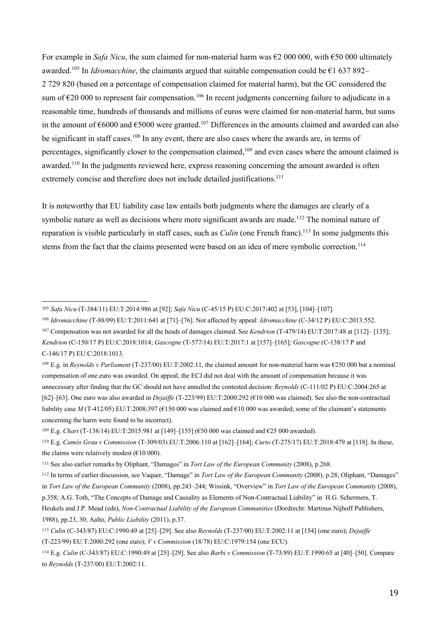For example in *Safa Nicu*, the sum claimed for non-material harm was €2 000 000, with €50 000 ultimately awarded.<sup>105</sup> In *Idromacchine*, the claimants argued that suitable compensation could be  $\epsilon$ 1 637 892– 2 729 820 (based on a percentage of compensation claimed for material harm), but the GC considered the sum of  $\epsilon$ 20 000 to represent fair compensation.<sup>106</sup> In recent judgments concerning failure to adjudicate in a reasonable time, hundreds of thousands and millions of euros were claimed for non-material harm, but sums in the amount of  $\epsilon$ 6000 and  $\epsilon$ 5000 were granted.<sup>107</sup> Differences in the amounts claimed and awarded can also be significant in staff cases.<sup>108</sup> In any event, there are also cases where the awards are, in terms of percentages, significantly closer to the compensation claimed,109 and even cases where the amount claimed is awarded.<sup>110</sup> In the judgments reviewed here, express reasoning concerning the amount awarded is often extremely concise and therefore does not include detailed justifications.<sup>111</sup>

It is noteworthy that EU liability case law entails both judgments where the damages are clearly of a symbolic nature as well as decisions where more significant awards are made.<sup>112</sup> The nominal nature of reparation is visible particularly in staff cases, such as *Culin* (one French franc). <sup>113</sup> In some judgments this stems from the fact that the claims presented were based on an idea of mere symbolic correction.<sup>114</sup>

 <sup>105</sup> *Safa Nicu* (T-384/11) EU:T:2014:986 at [92]; *Safa Nicu* (C-45/15 P) EU:C:2017:402 at [53], [104]–[107].

<sup>106</sup> *Idromacchine* (T-88/09) EU:T:2011:641 at [71]–[76]. Not affected by appeal: *Idromacchine* (C-34/12 P) EU:C:2013:552. <sup>107</sup> Compensation was not awarded for all the heads of damages claimed. See *Kendrion* (T-479/14) EU:T:2017:48 at [112]– [135]; *Kendrion* (C-150/17 P) EU:C:2018:1014; *Gascogne* (T-577/14) EU:T:2017:1 at [157]–[165]; *Gascogne* (C-138/17 P and C-146/17 P) EU:C:2018:1013.

<sup>108</sup> E.g. in *Reynolds v Parliament* (T-237/00) EU:T:2002:11, the claimed amount for non-material harm was €250 000 but a nominal compensation of one euro was awarded. On appeal, the ECJ did not deal with the amount of compensation because it was unnecessary after finding that the GC should not have annulled the contested decision: *Reynolds* (C-111/02 P) EU:C:2004:265 at [62]–[63]. One euro was also awarded in *Dejaiffe* (T-223/99) EU:T:2000:292 (€10 000 was claimed). See also the non-contractual liability case *M* (T-412/05) EU:T:2008:397 (€150 000 was claimed and €10 000 was awarded; some of the claimant's statements concerning the harm were found to be incorrect).

<sup>&</sup>lt;sup>109</sup> E.g. *Chart* (T-138/14) EU:T:2015:981 at [149]–[155] (€50 000 was claimed and €25 000 awarded).

<sup>110</sup> E.g. *Camós Grau v Commission* (T-309/03) EU:T:2006:110 at [162]–[164]; *Curto* (T-275/17) EU:T:2018:479 at [118]. In these, the claims were relatively modest ( $€10000$ ).

<sup>111</sup> See also earlier remarks by Oliphant, "Damages" in *Tort Law of the European Community* (2008), p.268.

<sup>112</sup> In terms of earlier discussion, see Vaquer, "Damage" in *Tort Law of the European Community* (2008), p.28; Oliphant, "Damages" in *Tort Law of the European Community* (2008), pp.243–244; Wissink, "Overview" in *Tort Law of the European Community* (2008), p.358; A.G. Toth, "The Concepts of Damage and Causality as Elements of Non-Contractual Liability" in H.G. Schermers, T. Heukels and J.P. Mead (eds), *Non-Contractual Liability of the European Communities* (Dordrecht: Martinus Nijhoff Publishers, 1988), pp.23, 30; Aalto, *Public Liability* (2011), p.37.

<sup>113</sup> *Culin* (C-343/87) EU:C:1990:49 at [25]–[29]. See also *Reynolds* (T-237/00) EU:T:2002:11 at [154] (one euro); *Dejaiffe* (T-223/99) EU:T:2000:292 (one euro); *V v Commission* (18/78) EU:C:1979:154 (one ECU).

<sup>114</sup> E.g. *Culin* (C-343/87) EU:C:1990:49 at [25]–[29]. See also *Barbi v Commission* (T-73/89) EU:T:1990:65 at [40]–[50]. Compare to *Reynolds* (T-237/00) EU:T:2002:11.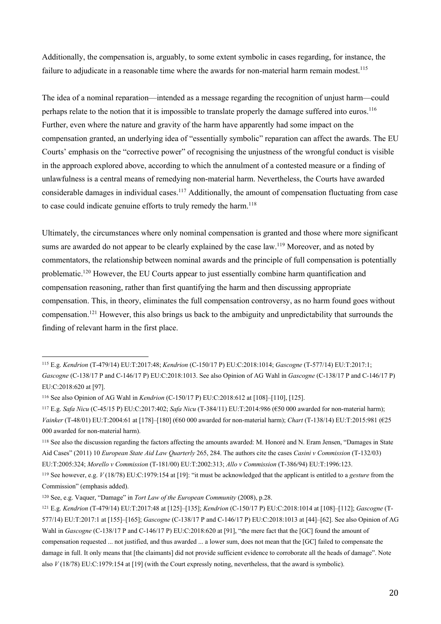Additionally, the compensation is, arguably, to some extent symbolic in cases regarding, for instance, the failure to adjudicate in a reasonable time where the awards for non-material harm remain modest.<sup>115</sup>

The idea of a nominal reparation—intended as a message regarding the recognition of unjust harm—could perhaps relate to the notion that it is impossible to translate properly the damage suffered into euros.<sup>116</sup> Further, even where the nature and gravity of the harm have apparently had some impact on the compensation granted, an underlying idea of "essentially symbolic" reparation can affect the awards. The EU Courts' emphasis on the "corrective power" of recognising the unjustness of the wrongful conduct is visible in the approach explored above, according to which the annulment of a contested measure or a finding of unlawfulness is a central means of remedying non-material harm. Nevertheless, the Courts have awarded considerable damages in individual cases.<sup>117</sup> Additionally, the amount of compensation fluctuating from case to case could indicate genuine efforts to truly remedy the harm.<sup>118</sup>

Ultimately, the circumstances where only nominal compensation is granted and those where more significant sums are awarded do not appear to be clearly explained by the case law.<sup>119</sup> Moreover, and as noted by commentators, the relationship between nominal awards and the principle of full compensation is potentially problematic.120 However, the EU Courts appear to just essentially combine harm quantification and compensation reasoning, rather than first quantifying the harm and then discussing appropriate compensation. This, in theory, eliminates the full compensation controversy, as no harm found goes without compensation.121 However, this also brings us back to the ambiguity and unpredictability that surrounds the finding of relevant harm in the first place.

 <sup>115</sup> E.g. *Kendrion* (T-479/14) EU:T:2017:48; *Kendrion* (C-150/17 P) EU:C:2018:1014; *Gascogne* (T-577/14) EU:T:2017:1;

*Gascogne* (C-138/17 P and C-146/17 P) EU:C:2018:1013. See also Opinion of AG Wahl in *Gascogne* (C-138/17 P and C-146/17 P) EU:C:2018:620 at [97].

<sup>116</sup> See also Opinion of AG Wahl in *Kendrion* (C-150/17 P) EU:C:2018:612 at [108]–[110], [125].

<sup>117</sup> E.g. *Safa Nicu* (C-45/15 P) EU:C:2017:402; *Safa Nicu* (T-384/11) EU:T:2014:986 (€50 000 awarded for non-material harm); *Vainker* (T-48/01) EU:T:2004:61 at [178]–[180] (€60 000 awarded for non-material harm); *Chart* (T-138/14) EU:T:2015:981 (€25 000 awarded for non-material harm).

<sup>118</sup> See also the discussion regarding the factors affecting the amounts awarded: M. Honoré and N. Eram Jensen, "Damages in State Aid Cases" (2011) 10 *European State Aid Law Quarterly* 265, 284. The authors cite the cases *Casini v Commission* (T-132/03) EU:T:2005:324; *Morello v Commission* (T-181/00) EU:T:2002:313; *Allo v Commission* (T-386/94) EU:T:1996:123.

<sup>119</sup> See however, e.g. *V* (18/78) EU:C:1979:154 at [19]: "it must be acknowledged that the applicant is entitled to a *gesture* from the Commission" (emphasis added).

<sup>120</sup> See, e.g. Vaquer, "Damage" in *Tort Law of the European Community* (2008), p.28.

<sup>121</sup> E.g. *Kendrion* (T-479/14) EU:T:2017:48 at [125]–[135]; *Kendrion* (C-150/17 P) EU:C:2018:1014 at [108]–[112]; *Gascogne* (T-577/14) EU:T:2017:1 at [155]–[165]; *Gascogne* (C-138/17 P and C-146/17 P) EU:C:2018:1013 at [44]–[62]. See also Opinion of AG Wahl in *Gascogne* (C-138/17 P and C-146/17 P) EU:C:2018:620 at [91], "the mere fact that the [GC] found the amount of compensation requested ... not justified, and thus awarded ... a lower sum, does not mean that the [GC] failed to compensate the damage in full. It only means that [the claimants] did not provide sufficient evidence to corroborate all the heads of damage". Note also *V* (18/78) EU:C:1979:154 at [19] (with the Court expressly noting, nevertheless, that the award is symbolic).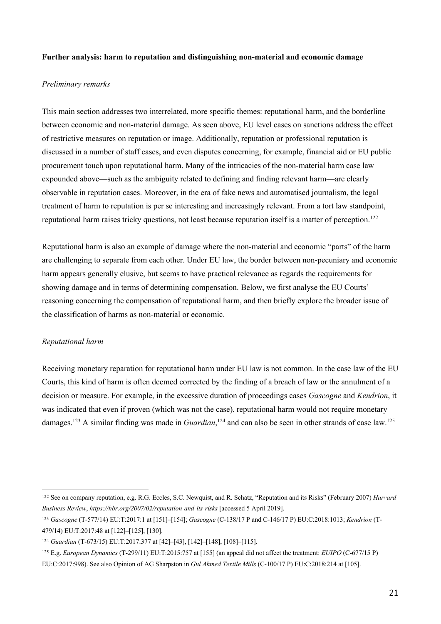# **Further analysis: harm to reputation and distinguishing non-material and economic damage**

#### *Preliminary remarks*

This main section addresses two interrelated, more specific themes: reputational harm, and the borderline between economic and non-material damage. As seen above, EU level cases on sanctions address the effect of restrictive measures on reputation or image. Additionally, reputation or professional reputation is discussed in a number of staff cases, and even disputes concerning, for example, financial aid or EU public procurement touch upon reputational harm. Many of the intricacies of the non-material harm case law expounded above—such as the ambiguity related to defining and finding relevant harm—are clearly observable in reputation cases. Moreover, in the era of fake news and automatised journalism, the legal treatment of harm to reputation is per se interesting and increasingly relevant. From a tort law standpoint, reputational harm raises tricky questions, not least because reputation itself is a matter of perception.<sup>122</sup>

Reputational harm is also an example of damage where the non-material and economic "parts" of the harm are challenging to separate from each other. Under EU law, the border between non-pecuniary and economic harm appears generally elusive, but seems to have practical relevance as regards the requirements for showing damage and in terms of determining compensation. Below, we first analyse the EU Courts' reasoning concerning the compensation of reputational harm, and then briefly explore the broader issue of the classification of harms as non-material or economic.

# *Reputational harm*

Receiving monetary reparation for reputational harm under EU law is not common. In the case law of the EU Courts, this kind of harm is often deemed corrected by the finding of a breach of law or the annulment of a decision or measure. For example, in the excessive duration of proceedings cases *Gascogne* and *Kendrion*, it was indicated that even if proven (which was not the case), reputational harm would not require monetary damages.<sup>123</sup> A similar finding was made in *Guardian*,<sup>124</sup> and can also be seen in other strands of case law.<sup>125</sup>

 <sup>122</sup> See on company reputation, e.g. R.G. Eccles, S.C. Newquist, and R. Schatz, "Reputation and its Risks" (February 2007) *Harvard Business Review*, *https://hbr.org/2007/02/reputation-and-its-risks* [accessed 5 April 2019].

<sup>123</sup> *Gascogne* (T-577/14) EU:T:2017:1 at [151]–[154]; *Gascogne* (C-138/17 P and C-146/17 P) EU:C:2018:1013; *Kendrion* (T-479/14) EU:T:2017:48 at [122]–[125], [130].

<sup>124</sup> *Guardian* (T-673/15) EU:T:2017:377 at [42]–[43], [142]–[148], [108]–[115].

<sup>125</sup> E.g. *European Dynamics* (T-299/11) EU:T:2015:757 at [155] (an appeal did not affect the treatment: *EUIPO* (C‐677/15 P) EU:C:2017:998). See also Opinion of AG Sharpston in *Gul Ahmed Textile Mills* (C-100/17 P) EU:C:2018:214 at [105].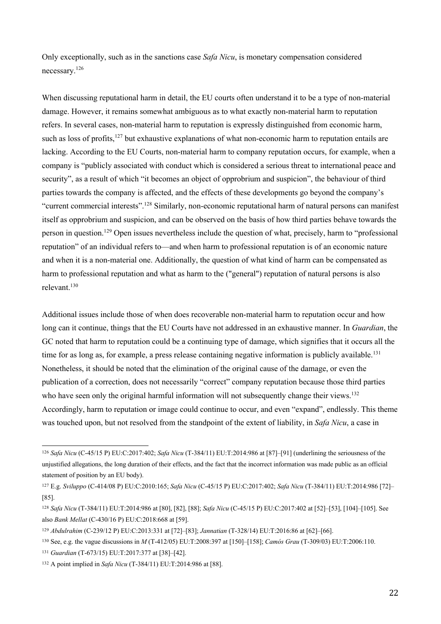Only exceptionally, such as in the sanctions case *Safa Nicu*, is monetary compensation considered necessary.<sup>126</sup>

When discussing reputational harm in detail, the EU courts often understand it to be a type of non-material damage. However, it remains somewhat ambiguous as to what exactly non-material harm to reputation refers. In several cases, non-material harm to reputation is expressly distinguished from economic harm, such as loss of profits,<sup>127</sup> but exhaustive explanations of what non-economic harm to reputation entails are lacking. According to the EU Courts, non-material harm to company reputation occurs, for example, when a company is "publicly associated with conduct which is considered a serious threat to international peace and security", as a result of which "it becomes an object of opprobrium and suspicion", the behaviour of third parties towards the company is affected, and the effects of these developments go beyond the company's "current commercial interests".<sup>128</sup> Similarly, non-economic reputational harm of natural persons can manifest itself as opprobrium and suspicion, and can be observed on the basis of how third parties behave towards the person in question.129 Open issues nevertheless include the question of what, precisely, harm to "professional reputation" of an individual refers to—and when harm to professional reputation is of an economic nature and when it is a non-material one. Additionally, the question of what kind of harm can be compensated as harm to professional reputation and what as harm to the ("general") reputation of natural persons is also relevant. 130

Additional issues include those of when does recoverable non-material harm to reputation occur and how long can it continue, things that the EU Courts have not addressed in an exhaustive manner. In *Guardian*, the GC noted that harm to reputation could be a continuing type of damage, which signifies that it occurs all the time for as long as, for example, a press release containing negative information is publicly available.<sup>131</sup> Nonetheless, it should be noted that the elimination of the original cause of the damage, or even the publication of a correction, does not necessarily "correct" company reputation because those third parties who have seen only the original harmful information will not subsequently change their views.<sup>132</sup> Accordingly, harm to reputation or image could continue to occur, and even "expand", endlessly. This theme was touched upon, but not resolved from the standpoint of the extent of liability, in *Safa Nicu*, a case in

 <sup>126</sup> *Safa Nicu* (C-45/15 P) EU:C:2017:402; *Safa Nicu* (T-384/11) EU:T:2014:986 at [87]–[91] (underlining the seriousness of the unjustified allegations, the long duration of their effects, and the fact that the incorrect information was made public as an official statement of position by an EU body).

<sup>127</sup> E.g. *Sviluppo* (C-414/08 P) EU:C:2010:165; *Safa Nicu* (C-45/15 P) EU:C:2017:402; *Safa Nicu* (T-384/11) EU:T:2014:986 [72]– [85].

<sup>128</sup> *Safa Nicu* (T-384/11) EU:T:2014:986 at [80], [82], [88]; *Safa Nicu* (C-45/15 P) EU:C:2017:402 at [52]–[53], [104]–[105]. See also *Bank Mellat* (C-430/16 P) EU:C:2018:668 at [59].

<sup>129</sup> *Abdulrahim* (C-239/12 P) EU:C:2013:331 at [72]–[83]; *Jannatian* (T-328/14) EU:T:2016:86 at [62]–[66].

<sup>130</sup> See, e.g. the vague discussions in *M* (T-412/05) EU:T:2008:397 at [150]–[158]; *Camós Grau* (T-309/03) EU:T:2006:110.

<sup>131</sup> *Guardian* (T-673/15) EU:T:2017:377 at [38]–[42].

<sup>132</sup> A point implied in *Safa Nicu* (T-384/11) EU:T:2014:986 at [88].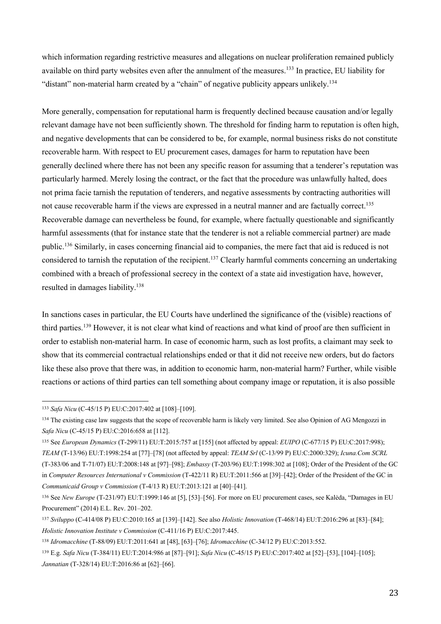which information regarding restrictive measures and allegations on nuclear proliferation remained publicly available on third party websites even after the annulment of the measures.<sup>133</sup> In practice, EU liability for "distant" non-material harm created by a "chain" of negative publicity appears unlikely.<sup>134</sup>

More generally, compensation for reputational harm is frequently declined because causation and/or legally relevant damage have not been sufficiently shown. The threshold for finding harm to reputation is often high, and negative developments that can be considered to be, for example, normal business risks do not constitute recoverable harm. With respect to EU procurement cases, damages for harm to reputation have been generally declined where there has not been any specific reason for assuming that a tenderer's reputation was particularly harmed. Merely losing the contract, or the fact that the procedure was unlawfully halted, does not prima facie tarnish the reputation of tenderers, and negative assessments by contracting authorities will not cause recoverable harm if the views are expressed in a neutral manner and are factually correct.<sup>135</sup> Recoverable damage can nevertheless be found, for example, where factually questionable and significantly harmful assessments (that for instance state that the tenderer is not a reliable commercial partner) are made public.<sup>136</sup> Similarly, in cases concerning financial aid to companies, the mere fact that aid is reduced is not considered to tarnish the reputation of the recipient.<sup>137</sup> Clearly harmful comments concerning an undertaking combined with a breach of professional secrecy in the context of a state aid investigation have, however, resulted in damages liability.138

In sanctions cases in particular, the EU Courts have underlined the significance of the (visible) reactions of third parties.139 However, it is not clear what kind of reactions and what kind of proof are then sufficient in order to establish non-material harm. In case of economic harm, such as lost profits, a claimant may seek to show that its commercial contractual relationships ended or that it did not receive new orders, but do factors like these also prove that there was, in addition to economic harm, non-material harm? Further, while visible reactions or actions of third parties can tell something about company image or reputation, it is also possible

 <sup>133</sup> *Safa Nicu* (C-45/15 P) EU:C:2017:402 at [108]–[109].

<sup>&</sup>lt;sup>134</sup> The existing case law suggests that the scope of recoverable harm is likely very limited. See also Opinion of AG Mengozzi in *Safa Nicu* (C-45/15 P) EU:C:2016:658 at [112].

<sup>135</sup> See *European Dynamics* (T-299/11) EU:T:2015:757 at [155] (not affected by appeal: *EUIPO* (C‐677/15 P) EU:C:2017:998);

*TEAM* (T-13/96) EU:T:1998:254 at [77]–[78] (not affected by appeal: *TEAM Srl* (C-13/99 P) EU:C:2000:329); *Icuna.Com SCRL* (T-383/06 and T-71/07) EU:T:2008:148 at [97]–[98]; *Embassy* (T-203/96) EU:T:1998:302 at [108]; Order of the President of the GC in *Computer Resources International v Commission* (T-422/11 R) EU:T:2011:566 at [39]–[42]; Order of the President of the GC in *Communicaid Group v Commission* (T-4/13 R) EU:T:2013:121 at [40]–[41].

<sup>136</sup> See *New Europe* (T-231/97) EU:T:1999:146 at [5], [53]–[56]. For more on EU procurement cases, see Kalėda, "Damages in EU Procurement" (2014) E.L. Rev. 201–202.

<sup>137</sup> *Sviluppo* (C-414/08 P) EU:C:2010:165 at [139]–[142]. See also *Holistic Innovation* (T-468/14) EU:T:2016:296 at [83]–[84]; *Holistic Innovation Institute v Commission* (C-411/16 P) EU:C:2017:445.

<sup>138</sup> *Idromacchine* (T-88/09) EU:T:2011:641 at [48], [63]–[76]; *Idromacchine* (C-34/12 P) EU:C:2013:552.

<sup>139</sup> E.g. *Safa Nicu* (T-384/11) EU:T:2014:986 at [87]–[91]; *Safa Nicu* (C-45/15 P) EU:C:2017:402 at [52]–[53], [104]–[105]; *Jannatian* (T-328/14) EU:T:2016:86 at [62]–[66].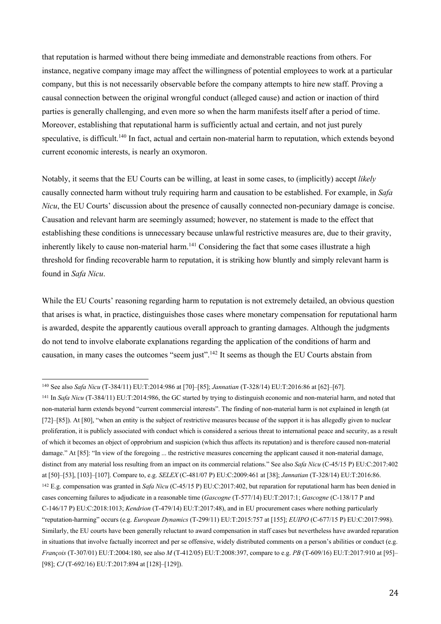that reputation is harmed without there being immediate and demonstrable reactions from others. For instance, negative company image may affect the willingness of potential employees to work at a particular company, but this is not necessarily observable before the company attempts to hire new staff. Proving a causal connection between the original wrongful conduct (alleged cause) and action or inaction of third parties is generally challenging, and even more so when the harm manifests itself after a period of time. Moreover, establishing that reputational harm is sufficiently actual and certain, and not just purely speculative, is difficult.<sup>140</sup> In fact, actual and certain non-material harm to reputation, which extends beyond current economic interests, is nearly an oxymoron.

Notably, it seems that the EU Courts can be willing, at least in some cases, to (implicitly) accept *likely* causally connected harm without truly requiring harm and causation to be established. For example, in *Safa Nicu*, the EU Courts' discussion about the presence of causally connected non-pecuniary damage is concise. Causation and relevant harm are seemingly assumed; however, no statement is made to the effect that establishing these conditions is unnecessary because unlawful restrictive measures are, due to their gravity, inherently likely to cause non-material harm.<sup>141</sup> Considering the fact that some cases illustrate a high threshold for finding recoverable harm to reputation, it is striking how bluntly and simply relevant harm is found in *Safa Nicu*.

While the EU Courts' reasoning regarding harm to reputation is not extremely detailed, an obvious question that arises is what, in practice, distinguishes those cases where monetary compensation for reputational harm is awarded, despite the apparently cautious overall approach to granting damages. Although the judgments do not tend to involve elaborate explanations regarding the application of the conditions of harm and causation, in many cases the outcomes "seem just".<sup>142</sup> It seems as though the EU Courts abstain from

 <sup>140</sup> See also *Safa Nicu* (T-384/11) EU:T:2014:986 at [70]–[85]; *Jannatian* (T-328/14) EU:T:2016:86 at [62]–[67].

<sup>141</sup> In *Safa Nicu* (T-384/11) EU:T:2014:986, the GC started by trying to distinguish economic and non-material harm, and noted that non-material harm extends beyond "current commercial interests". The finding of non-material harm is not explained in length (at [72]–[85]). At [80], "when an entity is the subject of restrictive measures because of the support it is has allegedly given to nuclear proliferation, it is publicly associated with conduct which is considered a serious threat to international peace and security, as a result of which it becomes an object of opprobrium and suspicion (which thus affects its reputation) and is therefore caused non-material damage." At [85]: "In view of the foregoing ... the restrictive measures concerning the applicant caused it non-material damage, distinct from any material loss resulting from an impact on its commercial relations." See also *Safa Nicu* (C-45/15 P) EU:C:2017:402 at [50]–[53], [103]–[107]. Compare to, e.g. *SELEX* (C-481/07 P) EU:C:2009:461 at [38]; *Jannatian* (T-328/14) EU:T:2016:86. <sup>142</sup> E.g. compensation was granted in *Safa Nicu* (C-45/15 P) EU:C:2017:402, but reparation for reputational harm has been denied in cases concerning failures to adjudicate in a reasonable time (*Gascogne* (T-577/14) EU:T:2017:1; *Gascogne* (C-138/17 P and C-146/17 P) EU:C:2018:1013; *Kendrion* (T-479/14) EU:T:2017:48), and in EU procurement cases where nothing particularly "reputation-harming" occurs (e.g. *European Dynamics* (T-299/11) EU:T:2015:757 at [155]; *EUIPO* (C‐677/15 P) EU:C:2017:998). Similarly, the EU courts have been generally reluctant to award compensation in staff cases but nevertheless have awarded reparation in situations that involve factually incorrect and per se offensive, widely distributed comments on a person's abilities or conduct (e.g. *François* (T-307/01) EU:T:2004:180, see also *M* (T-412/05) EU:T:2008:397, compare to e.g. *PB* (T-609/16) EU:T:2017:910 at [95]– [98]; *CJ* (T-692/16) EU:T:2017:894 at [128]-[129]).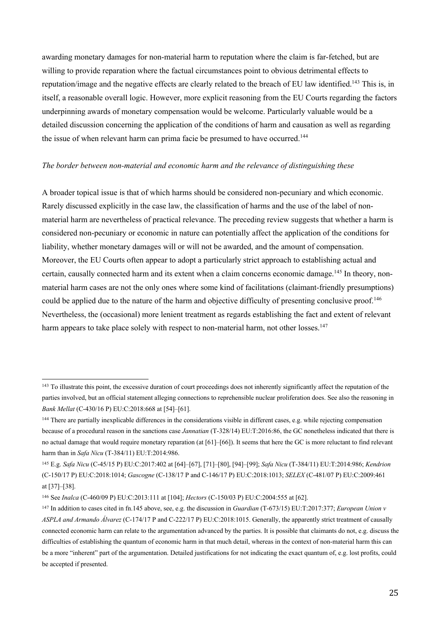awarding monetary damages for non-material harm to reputation where the claim is far-fetched, but are willing to provide reparation where the factual circumstances point to obvious detrimental effects to reputation/image and the negative effects are clearly related to the breach of EU law identified.<sup>143</sup> This is, in itself, a reasonable overall logic. However, more explicit reasoning from the EU Courts regarding the factors underpinning awards of monetary compensation would be welcome. Particularly valuable would be a detailed discussion concerning the application of the conditions of harm and causation as well as regarding the issue of when relevant harm can prima facie be presumed to have occurred.<sup>144</sup>

#### *The border between non-material and economic harm and the relevance of distinguishing these*

A broader topical issue is that of which harms should be considered non-pecuniary and which economic. Rarely discussed explicitly in the case law, the classification of harms and the use of the label of nonmaterial harm are nevertheless of practical relevance. The preceding review suggests that whether a harm is considered non-pecuniary or economic in nature can potentially affect the application of the conditions for liability, whether monetary damages will or will not be awarded, and the amount of compensation. Moreover, the EU Courts often appear to adopt a particularly strict approach to establishing actual and certain, causally connected harm and its extent when a claim concerns economic damage.<sup>145</sup> In theory, nonmaterial harm cases are not the only ones where some kind of facilitations (claimant-friendly presumptions) could be applied due to the nature of the harm and objective difficulty of presenting conclusive proof.<sup>146</sup> Nevertheless, the (occasional) more lenient treatment as regards establishing the fact and extent of relevant harm appears to take place solely with respect to non-material harm, not other losses.<sup>147</sup>

<sup>&</sup>lt;sup>143</sup> To illustrate this point, the excessive duration of court proceedings does not inherently significantly affect the reputation of the parties involved, but an official statement alleging connections to reprehensible nuclear proliferation does. See also the reasoning in *Bank Mellat* (C-430/16 P) EU:C:2018:668 at [54]–[61].

<sup>&</sup>lt;sup>144</sup> There are partially inexplicable differences in the considerations visible in different cases, e.g. while rejecting compensation because of a procedural reason in the sanctions case *Jannatian* (T-328/14) EU:T:2016:86, the GC nonetheless indicated that there is no actual damage that would require monetary reparation (at [61]–[66]). It seems that here the GC is more reluctant to find relevant harm than in *Safa Nicu* (T-384/11) EU:T:2014:986.

<sup>145</sup> E.g. *Safa Nicu* (C-45/15 P) EU:C:2017:402 at [64]–[67], [71]–[80], [94]–[99]; *Safa Nicu* (T-384/11) EU:T:2014:986; *Kendrion* (C-150/17 P) EU:C:2018:1014; *Gascogne* (C-138/17 P and C-146/17 P) EU:C:2018:1013; *SELEX* (C-481/07 P) EU:C:2009:461 at [37]–[38].

<sup>146</sup> See *Inalca* (C-460/09 P) EU:C:2013:111 at [104]; *Hectors* (C-150/03 P) EU:C:2004:555 at [62].

<sup>147</sup> In addition to cases cited in fn.145 above, see, e.g. the discussion in *Guardian* (T-673/15) EU:T:2017:377; *European Union v ASPLA and Armando Álvarez* (C-174/17 P and C-222/17 P) EU:C:2018:1015. Generally, the apparently strict treatment of causally connected economic harm can relate to the argumentation advanced by the parties. It is possible that claimants do not, e.g. discuss the difficulties of establishing the quantum of economic harm in that much detail, whereas in the context of non-material harm this can be a more "inherent" part of the argumentation. Detailed justifications for not indicating the exact quantum of, e.g. lost profits, could be accepted if presented.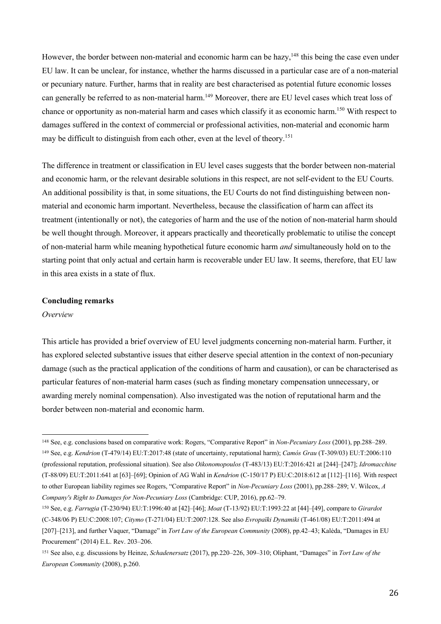However, the border between non-material and economic harm can be hazy, <sup>148</sup> this being the case even under EU law. It can be unclear, for instance, whether the harms discussed in a particular case are of a non-material or pecuniary nature. Further, harms that in reality are best characterised as potential future economic losses can generally be referred to as non-material harm.<sup>149</sup> Moreover, there are EU level cases which treat loss of chance or opportunity as non-material harm and cases which classify it as economic harm.150 With respect to damages suffered in the context of commercial or professional activities, non-material and economic harm may be difficult to distinguish from each other, even at the level of theory.<sup>151</sup>

The difference in treatment or classification in EU level cases suggests that the border between non-material and economic harm, or the relevant desirable solutions in this respect, are not self-evident to the EU Courts. An additional possibility is that, in some situations, the EU Courts do not find distinguishing between nonmaterial and economic harm important. Nevertheless, because the classification of harm can affect its treatment (intentionally or not), the categories of harm and the use of the notion of non-material harm should be well thought through. Moreover, it appears practically and theoretically problematic to utilise the concept of non-material harm while meaning hypothetical future economic harm *and* simultaneously hold on to the starting point that only actual and certain harm is recoverable under EU law. It seems, therefore, that EU law in this area exists in a state of flux.

#### **Concluding remarks**

#### *Overview*

This article has provided a brief overview of EU level judgments concerning non-material harm. Further, it has explored selected substantive issues that either deserve special attention in the context of non-pecuniary damage (such as the practical application of the conditions of harm and causation), or can be characterised as particular features of non-material harm cases (such as finding monetary compensation unnecessary, or awarding merely nominal compensation). Also investigated was the notion of reputational harm and the border between non-material and economic harm.

 <sup>148</sup> See, e.g. conclusions based on comparative work: Rogers, "Comparative Report" in *Non-Pecuniary Loss* (2001), pp.288–289. <sup>149</sup> See, e.g. *Kendrion* (T-479/14) EU:T:2017:48 (state of uncertainty, reputational harm); *Camós Grau* (T-309/03) EU:T:2006:110 (professional reputation, professional situation). See also *Oikonomopoulos* (T-483/13) EU:T:2016:421 at [244]–[247]; *Idromacchine*  (T-88/09) EU:T:2011:641 at [63]–[69]; Opinion of AG Wahl in *Kendrion* (C-150/17 P) EU:C:2018:612 at [112]–[116]. With respect to other European liability regimes see Rogers, "Comparative Report" in *Non-Pecuniary Loss* (2001), pp.288–289; V. Wilcox, *A Company's Right to Damages for Non-Pecuniary Loss* (Cambridge: CUP, 2016), pp.62–79.

<sup>150</sup> See, e.g. *Farrugia* (T-230/94) EU:T:1996:40 at [42]–[46]; *Moat* (T-13/92) EU:T:1993:22 at [44]–[49], compare to *Girardot*  (C-348/06 P) EU:C:2008:107; *Citymo* (T-271/04) EU:T:2007:128. See also *Evropaïki Dynamiki* (T-461/08) EU:T:2011:494 at [207]–[213], and further Vaquer, "Damage" in *Tort Law of the European Community* (2008), pp.42–43; Kalėda, "Damages in EU Procurement" (2014) E.L. Rev. 203–206.

<sup>151</sup> See also, e.g. discussions by Heinze, *Schadenersatz* (2017), pp.220–226, 309–310; Oliphant, "Damages" in *Tort Law of the European Community* (2008), p.260.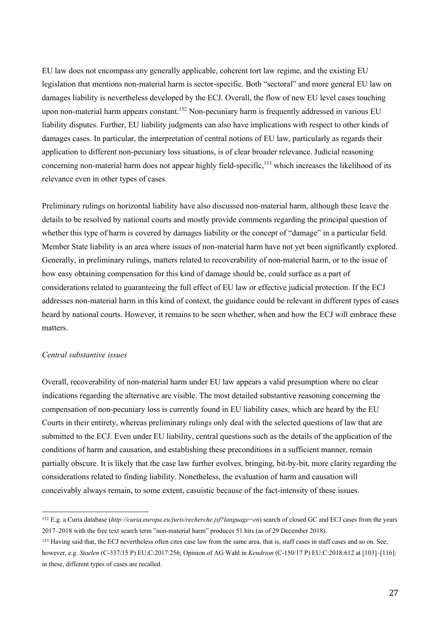EU law does not encompass any generally applicable, coherent tort law regime, and the existing EU legislation that mentions non-material harm is sector-specific. Both "sectoral" and more general EU law on damages liability is nevertheless developed by the ECJ. Overall, the flow of new EU level cases touching upon non-material harm appears constant.<sup>152</sup> Non-pecuniary harm is frequently addressed in various EU liability disputes. Further, EU liability judgments can also have implications with respect to other kinds of damages cases. In particular, the interpretation of central notions of EU law, particularly as regards their application to different non-pecuniary loss situations, is of clear broader relevance. Judicial reasoning concerning non-material harm does not appear highly field-specific,<sup>153</sup> which increases the likelihood of its relevance even in other types of cases.

Preliminary rulings on horizontal liability have also discussed non-material harm, although these leave the details to be resolved by national courts and mostly provide comments regarding the principal question of whether this type of harm is covered by damages liability or the concept of "damage" in a particular field. Member State liability is an area where issues of non-material harm have not yet been significantly explored. Generally, in preliminary rulings, matters related to recoverability of non-material harm, or to the issue of how easy obtaining compensation for this kind of damage should be, could surface as a part of considerations related to guaranteeing the full effect of EU law or effective judicial protection. If the ECJ addresses non-material harm in this kind of context, the guidance could be relevant in different types of cases heard by national courts. However, it remains to be seen whether, when and how the ECJ will embrace these matters.

## *Central substantive issues*

Overall, recoverability of non-material harm under EU law appears a valid presumption where no clear indications regarding the alternative are visible. The most detailed substantive reasoning concerning the compensation of non-pecuniary loss is currently found in EU liability cases, which are heard by the EU Courts in their entirety, whereas preliminary rulings only deal with the selected questions of law that are submitted to the ECJ. Even under EU liability, central questions such as the details of the application of the conditions of harm and causation, and establishing these preconditions in a sufficient manner, remain partially obscure. It is likely that the case law further evolves, bringing, bit-by-bit, more clarity regarding the considerations related to finding liability. Nonetheless, the evaluation of harm and causation will conceivably always remain, to some extent, casuistic because of the fact-intensity of these issues.

 <sup>152</sup> E.g. a Curia database (*http://curia.europa.eu/juris/recherche.jsf?language=en*) search of closed GC and ECJ cases from the years 2017–2018 with the free text search term "non-material harm" produces 51 hits (as of 29 December 2018).

<sup>153</sup> Having said that, the ECJ nevertheless often cites case law from the same area, that is, staff cases in staff cases and so on. See, however, e.g. *Staelen* (C-337/15 P) EU:C:2017:256; Opinion of AG Wahl in *Kendrion* (C-150/17 P) EU:C:2018:612 at [103]–[116]: in these, different types of cases are recalled.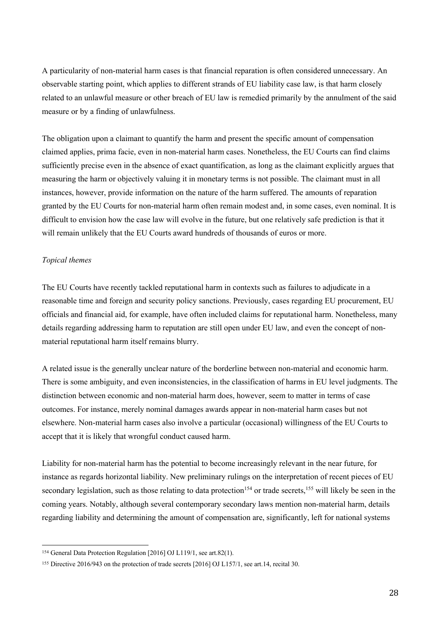A particularity of non-material harm cases is that financial reparation is often considered unnecessary. An observable starting point, which applies to different strands of EU liability case law, is that harm closely related to an unlawful measure or other breach of EU law is remedied primarily by the annulment of the said measure or by a finding of unlawfulness.

The obligation upon a claimant to quantify the harm and present the specific amount of compensation claimed applies, prima facie, even in non-material harm cases. Nonetheless, the EU Courts can find claims sufficiently precise even in the absence of exact quantification, as long as the claimant explicitly argues that measuring the harm or objectively valuing it in monetary terms is not possible. The claimant must in all instances, however, provide information on the nature of the harm suffered. The amounts of reparation granted by the EU Courts for non-material harm often remain modest and, in some cases, even nominal. It is difficult to envision how the case law will evolve in the future, but one relatively safe prediction is that it will remain unlikely that the EU Courts award hundreds of thousands of euros or more.

# *Topical themes*

The EU Courts have recently tackled reputational harm in contexts such as failures to adjudicate in a reasonable time and foreign and security policy sanctions. Previously, cases regarding EU procurement, EU officials and financial aid, for example, have often included claims for reputational harm. Nonetheless, many details regarding addressing harm to reputation are still open under EU law, and even the concept of nonmaterial reputational harm itself remains blurry.

A related issue is the generally unclear nature of the borderline between non-material and economic harm. There is some ambiguity, and even inconsistencies, in the classification of harms in EU level judgments. The distinction between economic and non-material harm does, however, seem to matter in terms of case outcomes. For instance, merely nominal damages awards appear in non-material harm cases but not elsewhere. Non-material harm cases also involve a particular (occasional) willingness of the EU Courts to accept that it is likely that wrongful conduct caused harm.

Liability for non-material harm has the potential to become increasingly relevant in the near future, for instance as regards horizontal liability. New preliminary rulings on the interpretation of recent pieces of EU secondary legislation, such as those relating to data protection<sup>154</sup> or trade secrets,<sup>155</sup> will likely be seen in the coming years. Notably, although several contemporary secondary laws mention non-material harm, details regarding liability and determining the amount of compensation are, significantly, left for national systems

 <sup>154</sup> General Data Protection Regulation [2016] OJ L119/1, see art.82(1).

<sup>155</sup> Directive 2016/943 on the protection of trade secrets [2016] OJ L157/1, see art.14, recital 30.